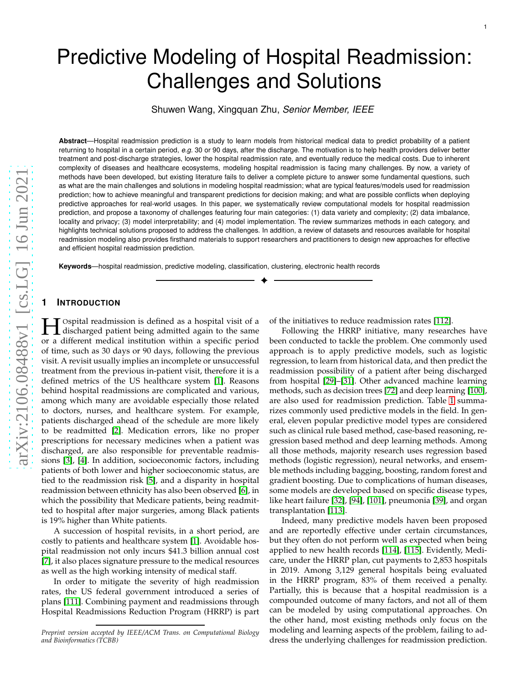Shuwen Wang, Xingquan Zhu, *Senior Member, IEEE*

**Abstract**—Hospital readmission prediction is a study to learn models from historical medical data to predict probability of a patient returning to hospital in a certain period, *e.g.* 30 or 90 days, after the discharge. The motivation is to help health providers deliver better treatment and post-discharge strategies, lower the hospital readmission rate, and eventually reduce the medical costs. Due to inherent complexity of diseases and healthcare ecosystems, modeling hospital readmission is facing many challenges. By now, a variety of methods have been developed, but existing literature fails to deliver a complete picture to answer some fundamental questions, such as what are the main challenges and solutions in modeling hospital readmission; what are typical features/models used for readmission prediction; how to achieve meaningful and transparent predictions for decision making; and what are possible conflicts when deploying predictive approaches for real-world usages. In this paper, we systematically review computational models for hospital readmission prediction, and propose a taxonomy of challenges featuring four main categories: (1) data variety and complexity; (2) data imbalance, locality and privacy; (3) model interpretability; and (4) model implementation. The review summarizes methods in each category, and highlights technical solutions proposed to address the challenges. In addition, a review of datasets and resources available for hospital readmission modeling also provides firsthand materials to support researchers and practitioners to design new approaches for effective and efficient hospital readmission prediction.

✦

**Keywords**—hospital readmission, predictive modeling, classification, clustering, electronic health records

# **1 INTRODUCTION**

**H** Ospital readmission is defined as a hospital visit of a discharged patient being admitted again to the same or a different modical institution within a specific period or a different medical institution within a specific period of time, such as 30 days or 90 days, following the previous visit. A revisit usually implies an incomplete or unsuccessful treatment from the previous in-patient visit, therefore it is a defined metrics of the US healthcare system [\[1\]](#page-15-0). Reasons behind hospital readmissions are complicated and various, among which many are avoidable especially those related to doctors, nurses, and healthcare system. For example, patients discharged ahead of the schedule are more likely to be readmitted [\[2\]](#page-15-1). Medication errors, like no proper prescriptions for necessary medicines when a patient was discharged, are also responsible for preventable readmissions [\[3\]](#page-15-2), [\[4\]](#page-15-3). In addition, socioeconomic factors, including patients of both lower and higher socioeconomic status, are tied to the readmission risk [\[5\]](#page-15-4), and a disparity in hospital readmission between ethnicity has also been observed [\[6\]](#page-16-0), i n which the possibility that Medicare patients, being readmitted to hospital after major surgeries, among Black patients is 19% higher than White patients.

A succession of hospital revisits, in a short period, are costly to patients and healthcare system [\[1\]](#page-15-0). Avoidable hos pital readmission not only incurs \$41.3 billion annual cost [\[7\]](#page-16-1), it also places signature pressure to the medical resources as well as the high working intensity of medical staff.

In order to mitigate the severity of high readmission rates, the US federal government introduced a series of plans [\[111\]](#page-18-0). Combining payment and readmissions through Hospital Readmissions Reduction Program (HRRP) is part of the initiatives to reduce readmission rates [\[112\]](#page-18-1).

Following the HRRP initiative, many researches have been conducted to tackle the problem. One commonly used approach is to apply predictive models, such as logistic regression, to learn from historical data, and then predict the readmission possibility of a patient after being discharge d from hospital [\[29\]](#page-17-0)–[\[31\]](#page-17-1). Other advanced machine learning methods, such as decision trees [\[72\]](#page-17-2) and deep learning [\[100\]](#page-18-2) , are also used for readmission prediction. Table [1](#page-1-0) summarizes commonly used predictive models in the field. In general, eleven popular predictive model types are considered such as clinical rule based method, case-based reasoning, regression based method and deep learning methods. Among all those methods, majority research uses regression based methods (logistic regression), neural networks, and ensem ble methods including bagging, boosting, random forest and gradient boosting. Due to complications of human diseases, some models are developed based on specific disease types, like heart failure [\[32\]](#page-17-3), [\[94\]](#page-18-3), [\[101\]](#page-18-4), pneumonia [\[39\]](#page-17-4), and organ transplantation [\[113\]](#page-18-5).

Indeed, many predictive models haven been proposed and are reportedly effective under certain circumstances, but they often do not perform well as expected when being applied to new health records [\[114\]](#page-18-6), [\[115\]](#page-18-7). Evidently, Medi care, under the HRRP plan, cut payments to 2,853 hospitals in 2019. Among 3,129 general hospitals being evaluated in the HRRP program, 83% of them received a penalty. Partially, this is because that a hospital readmission is a compounded outcome of many factors, and not all of them can be modeled by using computational approaches. On the other hand, most existing methods only focus on the modeling and learning aspects of the problem, failing to address the underlying challenges for readmission prediction.

*Preprint version accepted by IEEE/ACM Trans. on Computational Biology and Bioinformatics (TCBB)*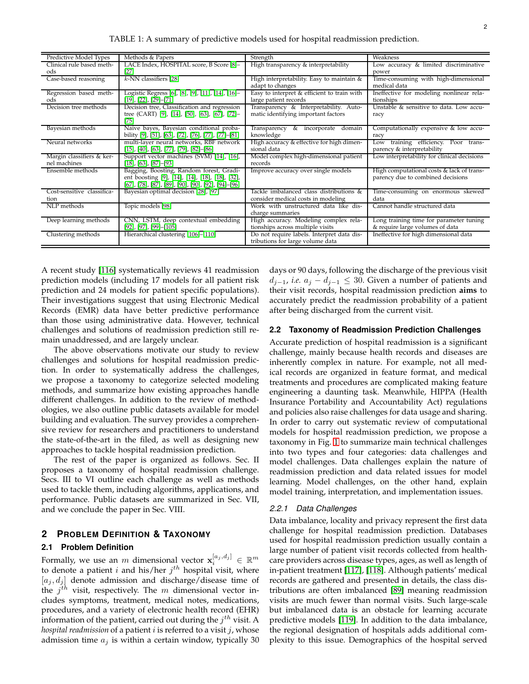<span id="page-1-0"></span>

| LACE Index, HOSPITAL score, B Score [8]-<br>High transparency & interpretability<br>Low accuracy & limited discriminative<br>Clinical rule based meth-<br>[27]<br>ods<br>power<br>$k$ -NN classifiers [28]<br>Time-consuming with high-dimensional<br>Case-based reasoning<br>High interpretability. Easy to maintain &<br>medical data<br>adapt to changes<br>Easy to interpret & efficient to train with<br>Logistic Regress [6], [8], [9], [11], [14], [16]-<br>Ineffective for modeling nonlinear rela-<br>Regression based meth-<br>$[19]$ , $[22]$ , $[29]$ - $[71]$<br>large patient records<br>tionships<br>ods<br>Decision tree, Classification and regression<br>Decision tree methods<br>Transparency & Interpretability. Auto-<br>Unstable & sensitive to data. Low accu- |  |
|---------------------------------------------------------------------------------------------------------------------------------------------------------------------------------------------------------------------------------------------------------------------------------------------------------------------------------------------------------------------------------------------------------------------------------------------------------------------------------------------------------------------------------------------------------------------------------------------------------------------------------------------------------------------------------------------------------------------------------------------------------------------------------------|--|
|                                                                                                                                                                                                                                                                                                                                                                                                                                                                                                                                                                                                                                                                                                                                                                                       |  |
|                                                                                                                                                                                                                                                                                                                                                                                                                                                                                                                                                                                                                                                                                                                                                                                       |  |
|                                                                                                                                                                                                                                                                                                                                                                                                                                                                                                                                                                                                                                                                                                                                                                                       |  |
|                                                                                                                                                                                                                                                                                                                                                                                                                                                                                                                                                                                                                                                                                                                                                                                       |  |
|                                                                                                                                                                                                                                                                                                                                                                                                                                                                                                                                                                                                                                                                                                                                                                                       |  |
|                                                                                                                                                                                                                                                                                                                                                                                                                                                                                                                                                                                                                                                                                                                                                                                       |  |
|                                                                                                                                                                                                                                                                                                                                                                                                                                                                                                                                                                                                                                                                                                                                                                                       |  |
| tree (CART) [9], [14], [50], [63], [67], [72]-<br>matic identifying important factors<br>racy                                                                                                                                                                                                                                                                                                                                                                                                                                                                                                                                                                                                                                                                                         |  |
| [75]                                                                                                                                                                                                                                                                                                                                                                                                                                                                                                                                                                                                                                                                                                                                                                                  |  |
| Bayesian methods<br>Naive bayes, Bayesian conditional proba-<br>Computationally expensive & low accu-<br>Transparency<br>& incorporate<br>domain                                                                                                                                                                                                                                                                                                                                                                                                                                                                                                                                                                                                                                      |  |
| bility [9], [51], [63], [72], [76], [77], [77]–[81]<br>knowledge<br>racy                                                                                                                                                                                                                                                                                                                                                                                                                                                                                                                                                                                                                                                                                                              |  |
| High accuracy & effective for high dimen-<br>Neural networks<br>multi-layer neural networks, RBF network<br>training efficiency. Poor trans-<br>Low                                                                                                                                                                                                                                                                                                                                                                                                                                                                                                                                                                                                                                   |  |
| $\left[ 15\right] ,\left[ 40\right] ,\left[ 63\right] ,\left[ 77\right] ,\left[ 79\right] ,\left[ 82\right] -\left[ 86\right]$<br>sional data<br>parency & interpretability                                                                                                                                                                                                                                                                                                                                                                                                                                                                                                                                                                                                           |  |
| Margin classifiers & ker-<br>Model complex high-dimensional patient<br>Low interpretability for clinical decisions<br>Support vector machines (SVM) [14], [16],                                                                                                                                                                                                                                                                                                                                                                                                                                                                                                                                                                                                                       |  |
| nel machines<br>$[18]$ , $[63]$ , $[87]$ – $[93]$<br>records                                                                                                                                                                                                                                                                                                                                                                                                                                                                                                                                                                                                                                                                                                                          |  |
| Ensemble methods<br>Bagging, Boosting, Random forest, Gradi-<br>Improve accuracy over single models<br>High computational costs & lack of trans-                                                                                                                                                                                                                                                                                                                                                                                                                                                                                                                                                                                                                                      |  |
| ent boosting [9], [14], [14], [18], [18], [32],<br>parency due to combined decisions                                                                                                                                                                                                                                                                                                                                                                                                                                                                                                                                                                                                                                                                                                  |  |
| $[67]$ , [78], [87], [89], [90], [90], [92], [94]–[96]                                                                                                                                                                                                                                                                                                                                                                                                                                                                                                                                                                                                                                                                                                                                |  |
| Cost-sensitive classifica-<br>Bayesian optimal decision [28], [97]<br>Tackle imbalanced class distributions &<br>Time-consuming on enormous skewed                                                                                                                                                                                                                                                                                                                                                                                                                                                                                                                                                                                                                                    |  |
| consider medical costs in modeling<br>data<br>tion                                                                                                                                                                                                                                                                                                                                                                                                                                                                                                                                                                                                                                                                                                                                    |  |
| Cannot handle structured data<br>NLP methods<br>Topic models [98]<br>Work with unstructured data like dis-                                                                                                                                                                                                                                                                                                                                                                                                                                                                                                                                                                                                                                                                            |  |
| charge summaries                                                                                                                                                                                                                                                                                                                                                                                                                                                                                                                                                                                                                                                                                                                                                                      |  |
| Deep learning methods<br>CNN, LSTM, deep contextual embedding<br>High accuracy. Modeling complex rela-<br>Long training time for parameter tuning                                                                                                                                                                                                                                                                                                                                                                                                                                                                                                                                                                                                                                     |  |
| & require large volumes of data<br>$[92]$ , $[97]$ , $[99]$ – $[105]$<br>tionships across multiple visits                                                                                                                                                                                                                                                                                                                                                                                                                                                                                                                                                                                                                                                                             |  |
| Hierarchical clustering [106]-[110]<br>Do not require labels. Interpret data dis-<br>Ineffective for high dimensional data<br>Clustering methods                                                                                                                                                                                                                                                                                                                                                                                                                                                                                                                                                                                                                                      |  |
| tributions for large volume data                                                                                                                                                                                                                                                                                                                                                                                                                                                                                                                                                                                                                                                                                                                                                      |  |

A recent study [\[116\]](#page-18-28) systematically reviews 41 readmission prediction models (including 17 models for all patient risk prediction and 24 models for patient specific populations). Their investigations suggest that using Electronic Medical Records (EMR) data have better predictive performance than those using administrative data. However, technical challenges and solutions of readmission prediction still remain unaddressed, and are largely unclear.

The above observations motivate our study to review challenges and solutions for hospital readmission prediction. In order to systematically address the challenges, we propose a taxonomy to categorize selected modeling methods, and summarize how existing approaches handle different challenges. In addition to the review of methodologies, we also outline public datasets available for model building and evaluation. The survey provides a comprehensive review for researchers and practitioners to understand the state-of-the-art in the filed, as well as designing new approaches to tackle hospital readmission prediction.

The rest of the paper is organized as follows. Sec. II proposes a taxonomy of hospital readmission challenge. Secs. III to VI outline each challenge as well as methods used to tackle them, including algorithms, applications, and performance. Public datasets are summarized in Sec. VII, and we conclude the paper in Sec. VIII.

# **2 PROBLEM DEFINITION & TAXONOMY**

## **2.1 Problem Definition**

Formally, we use an  $m$  dimensional vector  $\mathbf{x}_i^{[a_j, d_j]} \in \mathbb{R}^m$ to denote a patient i and his/her  $j<sup>th</sup>$  hospital visit, where  $[a_i, d_j]$  denote admission and discharge/disease time of the  $j^{th}$  visit, respectively. The m dimensional vector includes symptoms, treatment, medical notes, medications, procedures, and a variety of electronic health record (EHR) information of the patient, carried out during the  $j^{th}$  visit. A *hospital readmission* of a patient *i* is referred to a visit *j*, whose admission time  $a_j$  is within a certain window, typically 30 days or 90 days, following the discharge of the previous visit  $d_{j-1}$ , *i.e.*  $a_j - d_{j-1}$  ≤ 30. Given a number of patients and their visit records, hospital readmission prediction **aims** to accurately predict the readmission probability of a patient after being discharged from the current visit.

#### **2.2 Taxonomy of Readmission Prediction Challenges**

Accurate prediction of hospital readmission is a significant challenge, mainly because health records and diseases are inherently complex in nature. For example, not all medical records are organized in feature format, and medical treatments and procedures are complicated making feature engineering a daunting task. Meanwhile, HIPPA (Health Insurance Portability and Accountability Act) regulations and policies also raise challenges for data usage and sharing. In order to carry out systematic review of computational models for hospital readmission prediction, we propose a taxonomy in Fig. [1](#page-2-0) to summarize main technical challenges into two types and four categories: data challenges and model challenges. Data challenges explain the nature of readmission prediction and data related issues for model learning. Model challenges, on the other hand, explain model training, interpretation, and implementation issues.

### *2.2.1 Data Challenges*

Data imbalance, locality and privacy represent the first data challenge for hospital readmission prediction. Databases used for hospital readmission prediction usually contain a large number of patient visit records collected from healthcare providers across disease types, ages, as well as length of in-patient treatment [\[117\]](#page-18-29), [\[118\]](#page-18-30). Although patients' medical records are gathered and presented in details, the class distributions are often imbalanced [\[89\]](#page-18-18) meaning readmission visits are much fewer than normal visits. Such large-scale but imbalanced data is an obstacle for learning accurate predictive models [\[119\]](#page-18-31). In addition to the data imbalance, the regional designation of hospitals adds additional complexity to this issue. Demographics of the hospital served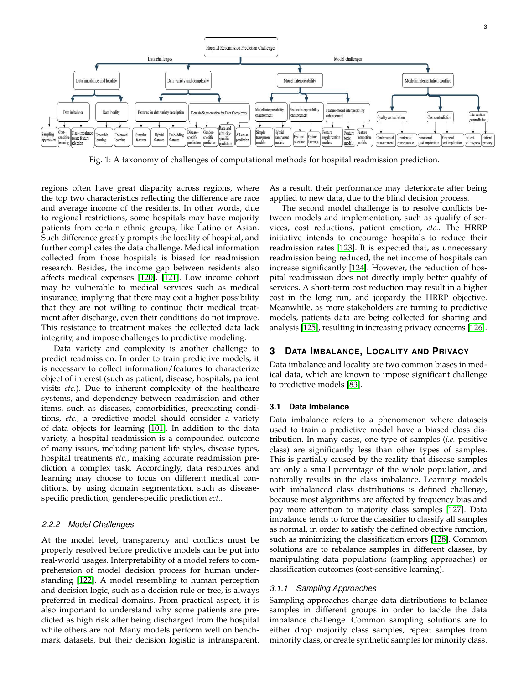<span id="page-2-0"></span>

Fig. 1: A taxonomy of challenges of computational methods for hospital readmission prediction.

regions often have great disparity across regions, where the top two characteristics reflecting the difference are race and average income of the residents. In other words, due to regional restrictions, some hospitals may have majority patients from certain ethnic groups, like Latino or Asian. Such difference greatly prompts the locality of hospital, and further complicates the data challenge. Medical information collected from those hospitals is biased for readmission research. Besides, the income gap between residents also affects medical expenses [\[120\]](#page-18-32), [\[121\]](#page-18-33). Low income cohort may be vulnerable to medical services such as medical insurance, implying that there may exit a higher possibility that they are not willing to continue their medical treatment after discharge, even their conditions do not improve. This resistance to treatment makes the collected data lack integrity, and impose challenges to predictive modeling.

Data variety and complexity is another challenge to predict readmission. In order to train predictive models, it is necessary to collect information/features to characterize object of interest (such as patient, disease, hospitals, patient visits *etc.*). Due to inherent complexity of the healthcare systems, and dependency between readmission and other items, such as diseases, comorbidities, preexisting conditions, *etc.*, a predictive model should consider a variety of data objects for learning [\[101\]](#page-18-4). In addition to the data variety, a hospital readmission is a compounded outcome of many issues, including patient life styles, disease types, hospital treatments *etc.*, making accurate readmission prediction a complex task. Accordingly, data resources and learning may choose to focus on different medical conditions, by using domain segmentation, such as diseasespecific prediction, gender-specific prediction *ect.*.

### *2.2.2 Model Challenges*

At the model level, transparency and conflicts must be properly resolved before predictive models can be put into real-world usages. Interpretability of a model refers to comprehension of model decision process for human understanding [\[122\]](#page-19-0). A model resembling to human perception and decision logic, such as a decision rule or tree, is always preferred in medical domains. From practical aspect, it is also important to understand why some patients are predicted as high risk after being discharged from the hospital while others are not. Many models perform well on benchmark datasets, but their decision logistic is intransparent.

As a result, their performance may deteriorate after being applied to new data, due to the blind decision process.

The second model challenge is to resolve conflicts between models and implementation, such as qualify of services, cost reductions, patient emotion, *etc.*. The HRRP initiative intends to encourage hospitals to reduce their readmission rates [\[123\]](#page-19-1). It is expected that, as unnecessary readmission being reduced, the net income of hospitals can increase significantly [\[124\]](#page-19-2). However, the reduction of hospital readmission does not directly imply better qualify of services. A short-term cost reduction may result in a higher cost in the long run, and jeopardy the HRRP objective. Meanwhile, as more stakeholders are turning to predictive models, patients data are being collected for sharing and analysis [\[125\]](#page-19-3), resulting in increasing privacy concerns [\[126\]](#page-19-4).

# **3 DATA IMBALANCE, LOCALITY AND PRIVACY**

Data imbalance and locality are two common biases in medical data, which are known to impose significant challenge to predictive models [\[83\]](#page-18-34).

#### **3.1 Data Imbalance**

Data imbalance refers to a phenomenon where datasets used to train a predictive model have a biased class distribution. In many cases, one type of samples (*i.e.* positive class) are significantly less than other types of samples. This is partially caused by the reality that disease samples are only a small percentage of the whole population, and naturally results in the class imbalance. Learning models with imbalanced class distributions is defined challenge, because most algorithms are affected by frequency bias and pay more attention to majority class samples [\[127\]](#page-19-5). Data imbalance tends to force the classifier to classify all samples as normal, in order to satisfy the defined objective function, such as minimizing the classification errors [\[128\]](#page-19-6). Common solutions are to rebalance samples in different classes, by manipulating data populations (sampling approaches) or classification outcomes (cost-sensitive learning).

#### *3.1.1 Sampling Approaches*

Sampling approaches change data distributions to balance samples in different groups in order to tackle the data imbalance challenge. Common sampling solutions are to either drop majority class samples, repeat samples from minority class, or create synthetic samples for minority class.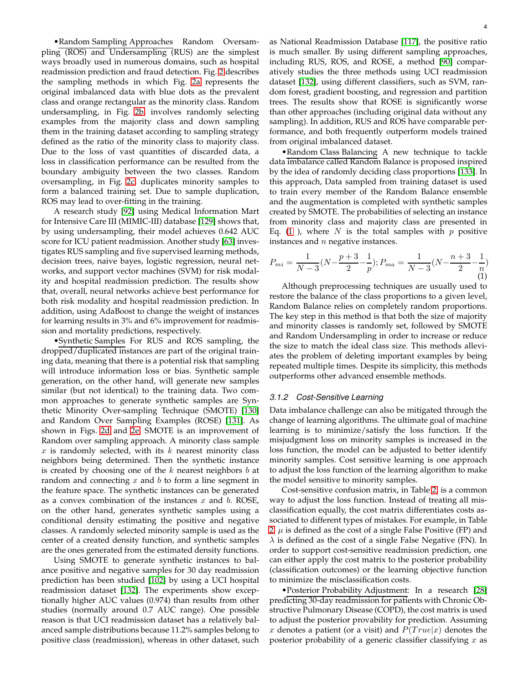•Random Sampling Approaches Random Oversampling (ROS) and Undersampling (RUS) are the simplest ways broadly used in numerous domains, such as hospital readmission prediction and fraud detection. Fig. [2](#page-4-0) describes the sampling methods in which Fig. [2a](#page-4-0) represents the original imbalanced data with blue dots as the prevalent class and orange rectangular as the minority class. Random undersampling, in Fig. [2b,](#page-4-0) involves randomly selecting examples from the majority class and down sampling them in the training dataset according to sampling strategy defined as the ratio of the minority class to majority class. Due to the loss of vast quantities of discarded data, a loss in classification performance can be resulted from the boundary ambiguity between the two classes. Random oversampling, in Fig. [2c,](#page-4-0) duplicates minority samples to form a balanced training set. Due to sample duplication, ROS may lead to over-fitting in the training.

A research study [\[92\]](#page-18-20) using Medical Information Mart for Intensive Care III (MIMIC-III) database [\[129\]](#page-19-7) shows that, by using undersampling, their model achieves 0.642 AUC score for ICU patient readmission. Another study [\[63\]](#page-17-9) investigates RUS sampling and five supervised learning methods, decision trees, naive bayes, logistic regression, neural networks, and support vector machines (SVM) for risk modality and hospital readmission prediction. The results show that, overall, neural networks achieve best performance for both risk modality and hospital readmission prediction. In addition, using AdaBoost to change the weight of instances for learning results in 3% and 6% improvement for readmission and mortality predictions, respectively.

•Synthetic Samples For RUS and ROS sampling, the dropped/duplicated instances are part of the original training data, meaning that there is a potential risk that sampling will introduce information loss or bias. Synthetic sample generation, on the other hand, will generate new samples similar (but not identical) to the training data. Two common approaches to generate synthetic samples are Synthetic Minority Over-sampling Technique (SMOTE) [\[130\]](#page-19-8) and Random Over Sampling Examples (ROSE) [\[131\]](#page-19-9). As shown in Figs. [2d](#page-4-0) and [2e,](#page-4-0) SMOTE is an improvement of Random over sampling approach. A minority class sample  $x$  is randomly selected, with its  $k$  nearest minority class neighbors being determined. Then the synthetic instance is created by choosing one of the  $k$  nearest neighbors  $b$  at random and connecting  $x$  and  $b$  to form a line segment in the feature space. The synthetic instances can be generated as a convex combination of the instances  $x$  and  $b$ . ROSE, on the other hand, generates synthetic samples using a conditional density estimating the positive and negative classes. A randomly selected minority sample is used as the center of a created density function, and synthetic samples are the ones generated from the estimated density functions.

Using SMOTE to generate synthetic instances to balance positive and negative samples for 30 day readmission prediction has been studied [\[102\]](#page-18-35) by using a UCI hospital readmission dataset [\[132\]](#page-19-10). The experiments show exceptionally higher AUC values (0.974) than results from other studies (normally around 0.7 AUC range). One possible reason is that UCI readmission dataset has a relatively balanced sample distributions because 11.2% samples belong to positive class (readmission), whereas in other dataset, such

as National Readmission Database [\[117\]](#page-18-29), the positive ratio is much smaller. By using different sampling approaches, including RUS, ROS, and ROSE, a method [\[90\]](#page-18-19) comparatively studies the three methods using UCI readmission dataset [\[132\]](#page-19-10), using different classifiers, such as SVM, random forest, gradient boosting, and regression and partition trees. The results show that ROSE is significantly worse than other approaches (including original data without any sampling). In addition, RUS and ROS have comparable performance, and both frequently outperform models trained from original imbalanced dataset.

•Random Class Balancing A new technique to tackle data imbalance called Random Balance is proposed inspired by the idea of randomly deciding class proportions [\[133\]](#page-19-11). In this approach, Data sampled from training dataset is used to train every member of the Random Balance ensemble and the augmentation is completed with synthetic samples created by SMOTE. The probabilities of selecting an instance from minority class and majority class are presented in Eq. [\(1](#page-3-0)), where  $N$  is the total samples with  $p$  positive instances and  $n$  negative instances.

<span id="page-3-0"></span>
$$
P_{mi} = \frac{1}{N-3}(N - \frac{p+3}{2} - \frac{1}{p}); P_{ma} = \frac{1}{N-3}(N - \frac{n+3}{2} - \frac{1}{n})
$$
\n(1)

Although preprocessing techniques are usually used to restore the balance of the class proportions to a given level, Random Balance relies on completely random proportions. The key step in this method is that both the size of majority and minority classes is randomly set, followed by SMOTE and Random Undersampling in order to increase or reduce the size to match the ideal class size. This methods alleviates the problem of deleting important examples by being repeated multiple times. Despite its simplicity, this methods outperforms other advanced ensemble methods.

### *3.1.2 Cost-Sensitive Learning*

Data imbalance challenge can also be mitigated through the change of learning algorithms. The ultimate goal of machine learning is to minimize/satisfy the loss function. If the misjudgment loss on minority samples is increased in the loss function, the model can be adjusted to better identify minority samples. Cost sensitive learning is one approach to adjust the loss function of the learning algorithm to make the model sensitive to minority samples.

Cost-sensitive confusion matrix, in Table [2,](#page-4-1) is a common way to adjust the loss function. Instead of treating all misclassification equally, the cost matrix differentiates costs associated to different types of mistakes. For example, in Table [2,](#page-4-1)  $\mu$  is defined as the cost of a single False Positive (FP) and  $\lambda$  is defined as the cost of a single False Negative (FN). In order to support cost-sensitive readmission prediction, one can either apply the cost matrix to the posterior probability (classification outcomes) or the learning objective function to minimize the misclassification costs.

•Posterior Probability Adjustment: In a research [\[28\]](#page-17-6) predicting 30-day readmission for patients with Chronic Obstructive Pulmonary Disease (COPD), the cost matrix is used to adjust the posterior provability for prediction. Assuming x denotes a patient (or a visit) and  $P(True|x)$  denotes the posterior probability of a generic classifier classifying  $x$  as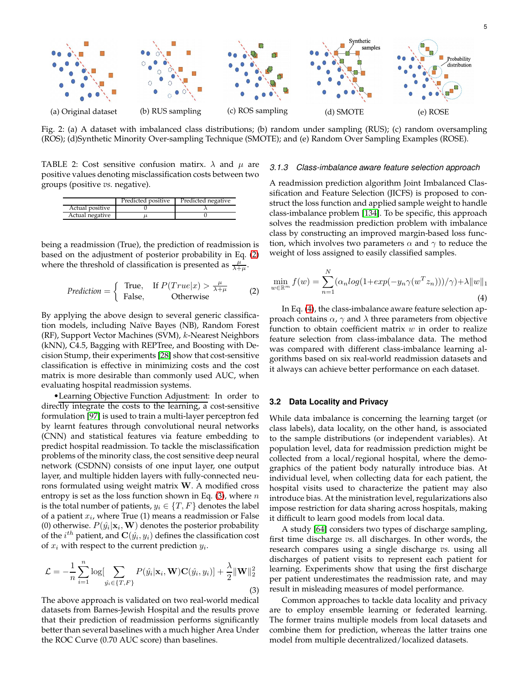<span id="page-4-0"></span>

Fig. 2: (a) A dataset with imbalanced class distributions; (b) random under sampling (RUS); (c) random oversampling (ROS); (d)Synthetic Minority Over-sampling Technique (SMOTE); and (e) Random Over Sampling Examples (ROSE).

<span id="page-4-1"></span>TABLE 2: Cost sensitive confusion matirx.  $\lambda$  and  $\mu$  are positive values denoting misclassification costs between two groups (positive *vs.* negative).

|                 | Predicted positive | Predicted negative |
|-----------------|--------------------|--------------------|
| Actual positive |                    |                    |
| Actual negative |                    |                    |

being a readmission (True), the prediction of readmission is based on the adjustment of posterior probability in Eq. [\(2\)](#page-4-2) where the threshold of classification is presented as  $\frac{\mu}{\lambda+\mu}$ .

<span id="page-4-2"></span>*Prediction* = { True, If 
$$
P(True|x) > \frac{\mu}{\lambda + \mu}
$$
 (2)  
False, Otherwise

By applying the above design to several generic classification models, including Na¨ıve Bayes (NB), Random Forest (RF), Support Vector Machines (SVM), k-Nearest Neighbors (kNN), C4.5, Bagging with REPTree, and Boosting with Decision Stump, their experiments [\[28\]](#page-17-6) show that cost-sensitive classification is effective in minimizing costs and the cost matrix is more desirable than commonly used AUC, when evaluating hospital readmission systems.

•Learning Objective Function Adjustment: In order to directly integrate the costs to the learning, a cost-sensitive formulation [\[97\]](#page-18-22) is used to train a multi-layer perceptron fed by learnt features through convolutional neural networks (CNN) and statistical features via feature embedding to predict hospital readmission. To tackle the misclassification problems of the minority class, the cost sensitive deep neural network (CSDNN) consists of one input layer, one output layer, and multiple hidden layers with fully-connected neurons formulated using weight matrix W. A modified cross entropy is set as the loss function shown in Eq.  $(3)$ , where n is the total number of patients,  $y_i \in \{T, F\}$  denotes the label of a patient  $x_i$ , where True (1) means a readmission or False (0) otherwise.  $P(\hat{y}_i | \mathbf{x}_i, \mathbf{W})$  denotes the posterior probability of the  $i^{th}$  patient, and  $\mathbf{C}(\hat{y}_i, y_i)$  defines the classification cost of  $x_i$  with respect to the current prediction  $y_i$ .

<span id="page-4-3"></span>
$$
\mathcal{L} = -\frac{1}{n} \sum_{i=1}^{n} \log \left[ \sum_{\hat{y}_i \in \{T, F\}} P(\hat{y}_i | \mathbf{x}_i, \mathbf{W}) \mathbf{C}(\hat{y}_i, y_i) \right] + \frac{\lambda}{2} ||\mathbf{W}||_2^2
$$
\n(3)

The above approach is validated on two real-world medical datasets from Barnes-Jewish Hospital and the results prove that their prediction of readmission performs significantly better than several baselines with a much higher Area Under the ROC Curve (0.70 AUC score) than baselines.

#### *3.1.3 Class-imbalance aware feature selection approach*

A readmission prediction algorithm Joint Imbalanced Classification and Feature Selection (JICFS) is proposed to construct the loss function and applied sample weight to handle class-imbalance problem [\[134\]](#page-19-12). To be specific, this approach solves the readmission prediction problem with imbalance class by constructing an improved margin-based loss function, which involves two parameters  $\alpha$  and  $\gamma$  to reduce the weight of loss assigned to easily classified samples.

<span id="page-4-4"></span>
$$
\min_{w \in \mathbb{R}^m} f(w) = \sum_{n=1}^N (\alpha_n \log(1 + \exp(-y_n \gamma(w^T z_n))) / \gamma) + \lambda \|w\|_1
$$
\n(4)

In Eq. [\(4\)](#page-4-4), the class-imbalance aware feature selection approach contains  $\alpha$ ,  $\gamma$  and  $\lambda$  three parameters from objective function to obtain coefficient matrix  $w$  in order to realize feature selection from class-imbalance data. The method was compared with different class-imbalance learning algorithms based on six real-world readmission datasets and it always can achieve better performance on each dataset.

# **3.2 Data Locality and Privacy**

While data imbalance is concerning the learning target (or class labels), data locality, on the other hand, is associated to the sample distributions (or independent variables). At population level, data for readmission prediction might be collected from a local/regional hospital, where the demographics of the patient body naturally introduce bias. At individual level, when collecting data for each patient, the hospital visits used to characterize the patient may also introduce bias. At the ministration level, regularizations also impose restriction for data sharing across hospitals, making it difficult to learn good models from local data.

A study [\[64\]](#page-17-13) considers two types of discharge sampling, first time discharge *vs.* all discharges. In other words, the research compares using a single discharge *vs.* using all discharges of patient visits to represent each patient for learning. Experiments show that using the first discharge per patient underestimates the readmission rate, and may result in misleading measures of model performance.

Common approaches to tackle data locality and privacy are to employ ensemble learning or federated learning. The former trains multiple models from local datasets and combine them for prediction, whereas the latter trains one model from multiple decentralized/localized datasets.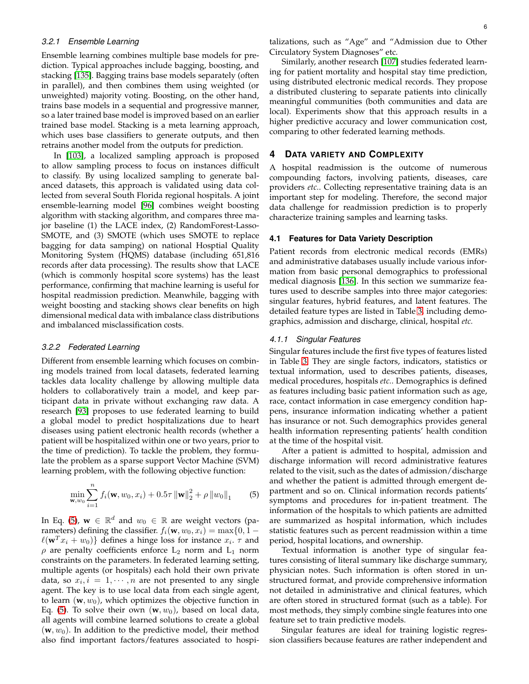## *3.2.1 Ensemble Learning*

Ensemble learning combines multiple base models for prediction. Typical approaches include bagging, boosting, and stacking [\[135\]](#page-19-13). Bagging trains base models separately (often in parallel), and then combines them using weighted (or unweighted) majority voting. Boosting, on the other hand, trains base models in a sequential and progressive manner, so a later trained base model is improved based on an earlier trained base model. Stacking is a meta learning approach, which uses base classifiers to generate outputs, and then retrains another model from the outputs for prediction.

In [\[103\]](#page-18-36), a localized sampling approach is proposed to allow sampling process to focus on instances difficult to classify. By using localized sampling to generate balanced datasets, this approach is validated using data collected from several South Florida regional hospitals. A joint ensemble-learning model [\[96\]](#page-18-21) combines weight boosting algorithm with stacking algorithm, and compares three major baseline (1) the LACE index, (2) RandomForest-Lasso-SMOTE, and (3) SMOTE (which uses SMOTE to replace bagging for data samping) on national Hosptial Quality Monitoring System (HQMS) database (including 651,816 records after data processing). The results show that LACE (which is commonly hospital score systems) has the least performance, confirming that machine learning is useful for hospital readmission prediction. Meanwhile, bagging with weight boosting and stacking shows clear benefits on high dimensional medical data with imbalance class distributions and imbalanced misclassification costs.

#### *3.2.2 Federated Learning*

Different from ensemble learning which focuses on combining models trained from local datasets, federated learning tackles data locality challenge by allowing multiple data holders to collaboratively train a model, and keep participant data in private without exchanging raw data. A research [\[93\]](#page-18-16) proposes to use federated learning to build a global model to predict hospitalizations due to heart diseases using patient electronic health records (whether a patient will be hospitalized within one or two years, prior to the time of prediction). To tackle the problem, they formulate the problem as a sparse support Vector Machine (SVM) learning problem, with the following objective function:

<span id="page-5-0"></span>
$$
\min_{\mathbf{w},w_0} \sum_{i=1}^n f_i(\mathbf{w}, w_0, x_i) + 0.5\tau \left\| \mathbf{w} \right\|_2^2 + \rho \left\| w_0 \right\|_1 \tag{5}
$$

In Eq. [\(5\)](#page-5-0),  $\mathbf{w} \in \mathbb{R}^d$  and  $w_0 \in \mathbb{R}$  are weight vectors (parameters) defining the classifier.  $f_i(\mathbf{w}, w_0, x_i) = \max\{0, 1 \ell(\mathbf{w}^T x_i + w_0)\}\)$  defines a hinge loss for instance  $x_i$ .  $\tau$  and  $\rho$  are penalty coefficients enforce  $L_2$  norm and  $L_1$  norm constraints on the parameters. In federated learning setting, multiple agents (or hospitals) each hold their own private data, so  $x_i, i = 1, \cdots, n$  are not presented to any single agent. The key is to use local data from each single agent, to learn  $(w, w_0)$ , which optimizes the objective function in Eq. [\(5\)](#page-5-0). To solve their own  $(w, w_0)$ , based on local data, all agents will combine learned solutions to create a global  $(w, w_0)$ . In addition to the predictive model, their method also find important factors/features associated to hospitalizations, such as "Age" and "Admission due to Other Circulatory System Diagnoses" etc.

Similarly, another research [\[107\]](#page-18-37) studies federated learning for patient mortality and hospital stay time prediction, using distributed electronic medical records. They propose a distributed clustering to separate patients into clinically meaningful communities (both communities and data are local). Experiments show that this approach results in a higher predictive accuracy and lower communication cost, comparing to other federated learning methods.

## **4 DATA VARIETY AND COMPLEXITY**

A hospital readmission is the outcome of numerous compounding factors, involving patients, diseases, care providers *etc.*. Collecting representative training data is an important step for modeling. Therefore, the second major data challenge for readmission prediction is to properly characterize training samples and learning tasks.

#### **4.1 Features for Data Variety Description**

Patient records from electronic medical records (EMRs) and administrative databases usually include various information from basic personal demographics to professional medical diagnosis [\[136\]](#page-19-14). In this section we summarize features used to describe samples into three major categories: singular features, hybrid features, and latent features. The detailed feature types are listed in Table [3,](#page-6-0) including demographics, admission and discharge, clinical, hospital *etc.*

#### *4.1.1 Singular Features*

Singular features include the first five types of features listed in Table [3.](#page-6-0) They are single factors, indicators, statistics or textual information, used to describes patients, diseases, medical procedures, hospitals *etc.*. Demographics is defined as features including basic patient information such as age, race, contact information in case emergency condition happens, insurance information indicating whether a patient has insurance or not. Such demographics provides general health information representing patients' health condition at the time of the hospital visit.

After a patient is admitted to hospital, admission and discharge information will record administrative features related to the visit, such as the dates of admission/discharge and whether the patient is admitted through emergent department and so on. Clinical information records patients' symptoms and procedures for in-patient treatment. The information of the hospitals to which patients are admitted are summarized as hospital information, which includes statistic features such as percent readmission within a time period, hospital locations, and ownership.

Textual information is another type of singular features consisting of literal summary like discharge summary, physician notes. Such information is often stored in unstructured format, and provide comprehensive information not detailed in administrative and clinical features, which are often stored in structured format (such as a table). For most methods, they simply combine single features into one feature set to train predictive models.

Singular features are ideal for training logistic regression classifiers because features are rather independent and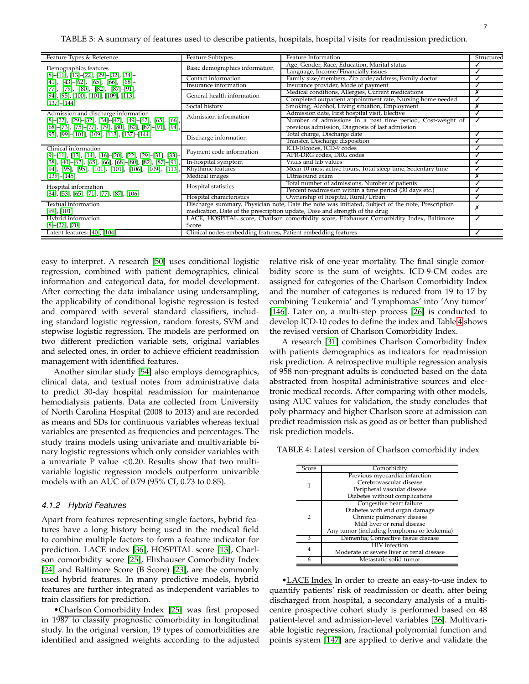<span id="page-6-0"></span>

| Feature Types & Reference                                                                     | <b>Feature Subtypes</b>                                                                           | Feature Information                                         | Structured |  |  |
|-----------------------------------------------------------------------------------------------|---------------------------------------------------------------------------------------------------|-------------------------------------------------------------|------------|--|--|
| Demographics features                                                                         | Basic demographics information                                                                    | Age, Gender, Race, Education, Marital status                |            |  |  |
| $[8]-[11], [13]-[22], [29]-[32], [34]-$                                                       |                                                                                                   | Language, Income/Financially issues                         |            |  |  |
| $[41]$ , $[43]$ - $[62]$ , $[65]$ , $[66]$ , $[68]$ -                                         | Contact information                                                                               | Family size/members, Zip code/address, Family doctor        |            |  |  |
| $[77]$ , $[79]$ , $[80]$ , $[82]$ , $[87]$ – $[91]$ ,                                         | Insurance information                                                                             | Insurance provider, Mode of payment                         | √          |  |  |
| [94], [95], [100], [101], [109], [113],                                                       | General health information                                                                        | Medical conditions, Allergies, Current medications          | Х          |  |  |
| $[137] - [144]$                                                                               |                                                                                                   | Completed outpatient appointment rate, Nursing home needed  | ✓          |  |  |
|                                                                                               | Social history                                                                                    | Smoking, Alcohol, Living situation, Employment              | Х          |  |  |
| Admission and discharge information                                                           | Admission information                                                                             | Admission date, First hospital visit, Elective              |            |  |  |
| $[8]-[22], [29]-[32], [34]-[47], [49]-[62], [65], [66],$                                      |                                                                                                   | Number of admissions in a past time period, Cost-weight of  | √          |  |  |
| [68]-[73], [75]-[77], [79], [80], [82], [87]-[91], [94],                                      |                                                                                                   | previous admission, Diagnosis of last admission             |            |  |  |
| $[95]$ , $[99]$ - $[101]$ , $[109]$ , $[113]$ , $[137]$ - $[144]$                             | Discharge information                                                                             | Total charge, Discharge date                                |            |  |  |
|                                                                                               |                                                                                                   | Transfer, Discharge disposition                             |            |  |  |
| Clinical information                                                                          | Payment code information                                                                          | ICD-10codes, ICD-9 codes                                    |            |  |  |
| $[9]$ -[11], [13], [14], [16]-[20], [22], [29]-[31], [33]-                                    |                                                                                                   | APR-DRG codes, DRG codes                                    |            |  |  |
| $[38]$ , $[40]$ – $[62]$ , $[65]$ , $[66]$ , $[68]$ – $[80]$ , $[82]$ , $[87]$ – $[91]$ , $[$ | In-hospital symptom                                                                               | Vitals and lab values                                       |            |  |  |
| [94], [95], [95], [101], [101], [106], [109], [113], Rhythmic features                        |                                                                                                   | Mean 10 most active hours, Total sleep time, Sedentary time |            |  |  |
| $[139] - [145]$                                                                               | Medical images                                                                                    | Ultrasound exam                                             | Х          |  |  |
|                                                                                               | Hospital statistics                                                                               | Total number of admissions, Number of patients              | ✓          |  |  |
| Hospital information<br>$[34]$ , [53], [65], [71], [77], [87], [106]                          |                                                                                                   | Percent readmission within a time period (30 days etc.)     |            |  |  |
|                                                                                               | Hospital characteristics                                                                          | Ownership of hospital, Rural/Urban                          |            |  |  |
| Textual information                                                                           | Discharge summary, Physician note, Date the note was initiated, Subject of the note, Prescription |                                                             |            |  |  |
| $[99]$ , $[101]$                                                                              | medication, Date of the prescription update, Dose and strength of the drug                        |                                                             |            |  |  |
| Hybrid information                                                                            | LACE, HOSPITAL score, Charlson comorbidity score, Elixhauser Comorbidity Index, Baltimore<br>✓    |                                                             |            |  |  |
| $[8]-[27], [70]$                                                                              | Score                                                                                             |                                                             |            |  |  |
| Latent features: [40], [104]                                                                  | Clinical nodes embedding features, Patient embedding features                                     |                                                             |            |  |  |

easy to interpret. A research [\[50\]](#page-17-8) uses conditional logistic regression, combined with patient demographics, clinical information and categorical data, for model development. After correcting the data imbalance using undersampling, the applicability of conditional logistic regression is tested and compared with several standard classifiers, including standard logistic regression, random forests, SVM and stepwise logistic regression. The models are performed on two different prediction variable sets, original variables and selected ones, in order to achieve efficient readmission management with identified features.

Another similar study [\[54\]](#page-17-28) also employs demographics, clinical data, and textual notes from administrative data to predict 30-day hospital readmission for maintenance hemodialysis patients. Data are collected from University of North Carolina Hospital (2008 to 2013) and are recorded as means and SDs for continuous variables whereas textual variables are presented as frequencies and percentages. The study trains models using univariate and multivariable binary logistic regressions which only consider variables with a univariate P value  $< 0.20$ . Results show that two multivariable logistic regression models outperform univarible models with an AUC of 0.79 (95% CI, 0.73 to 0.85).

### *4.1.2 Hybrid Features*

Apart from features representing single factors, hybrid features have a long history being used in the medical field to combine multiple factors to form a feature indicator for prediction. LACE index [\[36\]](#page-17-29), HOSPITAL score [\[13\]](#page-16-11), Charlson comorbidity score [\[25\]](#page-16-13), Elixhauser Comorbidity Index [\[24\]](#page-16-14) and Baltimore Score (B Score) [\[23\]](#page-16-15), are the commonly used hybrid features. In many predictive models, hybrid features are further integrated as independent variables to train classifiers for prediction.

•Charlson Comorbidity Index [\[25\]](#page-16-13) was first proposed in 1987 to classify prognostic comorbidity in longitudinal study. In the original version, 19 types of comorbidities are identified and assigned weights according to the adjusted

relative risk of one-year mortality. The final single comorbidity score is the sum of weights. ICD-9-CM codes are assigned for categories of the Charlson Comorbidity Index and the number of categories is reduced from 19 to 17 by combining 'Leukemia' and 'Lymphomas' into 'Any tumor' [\[146\]](#page-19-19). Later on, a multi-step process [\[26\]](#page-17-30) is conducted to develop ICD-10 codes to define the index and Table [4](#page-6-1) shows the revised version of Charlson Comorbidity Index.

A research [\[31\]](#page-17-1) combines Charlson Comorbidity Index with patients demographics as indicators for readmission risk prediction. A retrospective multiple regression analysis of 958 non-pregnant adults is conducted based on the data abstracted from hospital administrative sources and electronic medical records. After comparing with other models, using AUC values for validation, the study concludes that poly-pharmacy and higher Charlson score at admission can predict readmission risk as good as or better than published risk prediction models.

<span id="page-6-1"></span>TABLE 4: Latest version of Charlson comorbidity index

| Score | Comorbidity                                |
|-------|--------------------------------------------|
|       | Previous myocardial infarction             |
| 1     | Cerebrovascular disease                    |
|       | Peripheral vascular disease                |
|       | Diabetes without complications             |
|       | Congestive heart failure                   |
|       | Diabetes with end organ damage             |
| 2     | Chronic pulmonary disease                  |
|       | Mild liver or renal disease                |
|       | Any tumor (including lymphoma or leukemia) |
| 3     | Dementia; Connective tissue disease        |
| 4     | HIV infection                              |
|       | Moderate or severe liver or renal disease  |
| 6     | Metastatic solid tumor                     |

• LACE Index In order to create an easy-to-use index to quantify patients' risk of readmission or death, after being discharged from hospital, a secondary analysis of a multicentre prospective cohort study is performed based on 48 patient-level and admission-level variables [\[36\]](#page-17-29). Multivariable logistic regression, fractional polynomial function and points system [\[147\]](#page-19-20) are applied to derive and validate the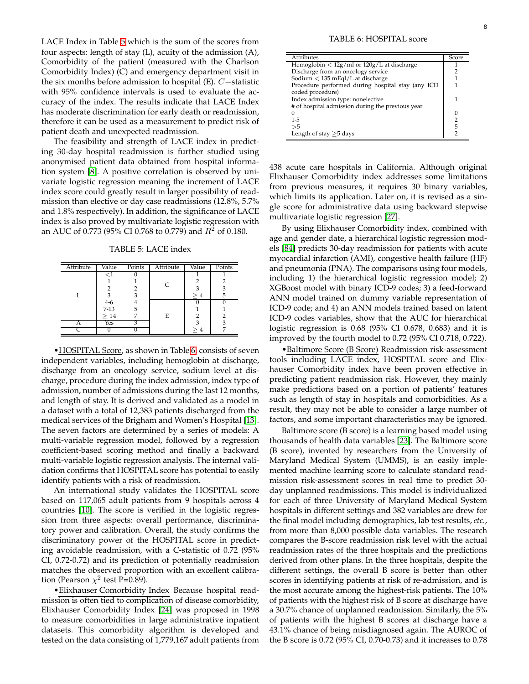LACE Index in Table [5](#page-7-0) which is the sum of the scores from four aspects: length of stay (L), acuity of the admission (A), Comorbidity of the patient (measured with the Charlson Comorbidity Index) (C) and emergency department visit in the six months before admission to hospital (E). C−statistic with 95% confidence intervals is used to evaluate the accuracy of the index. The results indicate that LACE Index has moderate discrimination for early death or readmission, therefore it can be used as a measurement to predict risk of patient death and unexpected readmission.

The feasibility and strength of LACE index in predicting 30-day hospital readmission is further studied using anonymised patient data obtained from hospital information system [\[8\]](#page-16-2). A positive correlation is observed by univariate logistic regression meaning the increment of LACE index score could greatly result in larger possibility of readmission than elective or day case readmissions (12.8%, 5.7% and 1.8% respectively). In addition, the significance of LACE index is also proved by multivariate logistic regression with an AUC of 0.773 (95% CI 0.768 to 0.779) and  $R^2$  of 0.180.

TABLE 5: LACE index

<span id="page-7-0"></span>

| Attribute | Value                | Points | Attribute | Value | Points |
|-----------|----------------------|--------|-----------|-------|--------|
|           | - 1                  |        |           |       |        |
|           |                      |        | C         |       |        |
|           | 2                    |        |           | 3     | 3      |
|           | $\frac{3}{4-6}$<br>3 |        | >4        |       |        |
|           |                      |        |           |       |        |
|           | $7 - 13$             | 5      |           |       |        |
|           | >14                  |        | E         | 2     |        |
| А         | Yes                  |        |           |       | 3      |
|           |                      |        |           |       |        |
|           |                      |        |           |       |        |

•HOSPITAL Score, as shown in Table [6,](#page-7-1) consists of seven independent variables, including hemoglobin at discharge, discharge from an oncology service, sodium level at discharge, procedure during the index admission, index type of admission, number of admissions during the last 12 months, and length of stay. It is derived and validated as a model in a dataset with a total of 12,383 patients discharged from the medical services of the Brigham and Women's Hospital [\[13\]](#page-16-11). The seven factors are determined by a series of models: A multi-variable regression model, followed by a regression coefficient-based scoring method and finally a backward multi-variable logistic regression analysis. The internal validation confirms that HOSPITAL score has potential to easily identify patients with a risk of readmission.

An international study validates the HOSPITAL score based on 117,065 adult patients from 9 hospitals across 4 countries [\[10\]](#page-16-16). The score is verified in the logistic regression from three aspects: overall performance, discriminatory power and calibration. Overall, the study confirms the discriminatory power of the HOSPITAL score in predicting avoidable readmission, with a C-statistic of 0.72 (95% CI, 0.72-0.72) and its prediction of potentially readmission matches the observed proportion with an excellent calibration (Pearson  $\chi^2$  test P=0.89).

•Elixhauser Comorbidity Index Because hospital readmission is often tied to complication of disease comorbidity, Elixhauser Comorbidity Index [\[24\]](#page-16-14) was proposed in 1998 to measure comorbidities in large administrative inpatient datasets. This comorbidity algorithm is developed and tested on the data consisting of 1,779,167 adult patients from

<span id="page-7-1"></span>

| <b>Attributes</b>                                                                     | Score |
|---------------------------------------------------------------------------------------|-------|
| Hemoglobin $\langle 12g/ml \text{ or } 120g/L$ at discharge                           |       |
| Discharge from an oncology service                                                    |       |
| Sodium $<$ 135 mEql/L at discharge                                                    |       |
| Procedure performed during hospital stay (any ICD<br>coded procedure)                 |       |
| Index admission type: nonelective<br># of hospital admission during the previous year |       |
|                                                                                       | 0     |
| $1 - 5$                                                                               | 2     |
| >5                                                                                    | 5     |
| Length of stay $>5$ days                                                              | 2     |

438 acute care hospitals in California. Although original Elixhauser Comorbidity index addresses some limitations from previous measures, it requires 30 binary variables, which limits its application. Later on, it is revised as a single score for administrative data using backward stepwise multivariate logistic regression [\[27\]](#page-17-5).

By using Elixhauser Comorbidity index, combined with age and gender date, a hierarchical logistic regression models [\[84\]](#page-18-43) predicts 30-day readmission for patients with acute myocardial infarction (AMI), congestive health failure (HF) and pneumonia (PNA). The comparisons using four models, including 1) the hierarchical logistic regression model; 2) XGBoost model with binary ICD-9 codes; 3) a feed-forward ANN model trained on dummy variable representation of ICD-9 code; and 4) an ANN models trained based on latent ICD-9 codes variables, show that the AUC for hierarchical logistic regression is 0.68 (95% CI 0.678, 0.683) and it is improved by the fourth model to 0.72 (95% CI 0.718, 0.722).

•Baltimore Score (B Score) Readmission risk-assessment tools including LACE index, HOSPITAL score and Elixhauser Comorbidity index have been proven effective in predicting patient readmission risk. However, they mainly make predictions based on a portion of patients' features such as length of stay in hospitals and comorbidities. As a result, they may not be able to consider a large number of factors, and some important characteristics may be ignored.

Baltimore score (B score) is a learning based model using thousands of health data variables [\[23\]](#page-16-15). The Baltimore score (B score), invented by researchers from the University of Maryland Medical System (UMMS), is an easily implemented machine learning score to calculate standard readmission risk-assessment scores in real time to predict 30 day unplanned readmissions. This model is individualized for each of three University of Maryland Medical System hospitals in different settings and 382 variables are drew for the final model including demographics, lab test results, *etc.*, from more than 8,000 possible data variables. The research compares the B-score readmission risk level with the actual readmission rates of the three hospitals and the predictions derived from other plans. In the three hospitals, despite the different settings, the overall B score is better than other scores in identifying patients at risk of re-admission, and is the most accurate among the highest-risk patients. The 10% of patients with the highest risk of B score at discharge have a 30.7% chance of unplanned readmission. Similarly, the 5% of patients with the highest B scores at discharge have a 43.1% chance of being misdiagnosed again. The AUROC of the B score is 0.72 (95% CI, 0.70-0.73) and it increases to 0.78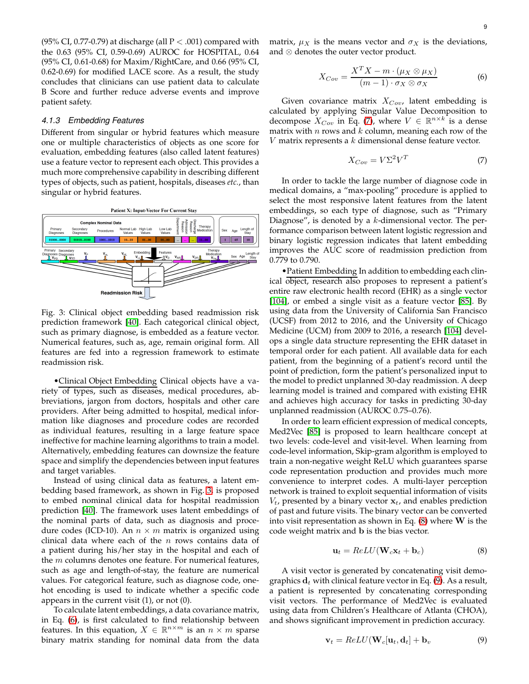(95% CI, 0.77-0.79) at discharge (all  $P < .001$ ) compared with the 0.63 (95% CI, 0.59-0.69) AUROC for HOSPITAL, 0.64 (95% CI, 0.61-0.68) for Maxim/RightCare, and 0.66 (95% CI, 0.62-0.69) for modified LACE score. As a result, the study concludes that clinicians can use patient data to calculate B Score and further reduce adverse events and improve patient safety.

#### *4.1.3 Embedding Features*

Different from singular or hybrid features which measure one or multiple characteristics of objects as one score for evaluation, embedding features (also called latent features) use a feature vector to represent each object. This provides a much more comprehensive capability in describing different types of objects, such as patient, hospitals, diseases *etc.*, than singular or hybrid features.

<span id="page-8-0"></span>

Fig. 3: Clinical object embedding based readmission risk prediction framework [\[40\]](#page-17-12). Each categorical clinical object, such as primary diagnose, is embedded as a feature vector. Numerical features, such as, age, remain original form. All features are fed into a regression framework to estimate readmission risk.

•Clinical Object Embedding Clinical objects have a variety of types, such as diseases, medical procedures, abbreviations, jargon from doctors, hospitals and other care providers. After being admitted to hospital, medical information like diagnoses and procedure codes are recorded as individual features, resulting in a large feature space ineffective for machine learning algorithms to train a model. Alternatively, embedding features can downsize the feature space and simplify the dependencies between input features and target variables.

Instead of using clinical data as features, a latent embedding based framework, as shown in Fig. [3,](#page-8-0) is proposed to embed nominal clinical data for hospital readmission prediction [\[40\]](#page-17-12). The framework uses latent embeddings of the nominal parts of data, such as diagnosis and procedure codes (ICD-10). An  $n \times m$  matrix is organized using clinical data where each of the  $n$  rows contains data of a patient during his/her stay in the hospital and each of the m columns denotes one feature. For numerical features, such as age and length-of-stay, the feature are numerical values. For categorical feature, such as diagnose code, onehot encoding is used to indicate whether a specific code appears in the current visit (1), or not (0).

To calculate latent embeddings, a data covariance matrix, in Eq. [\(6\)](#page-8-1), is first calculated to find relationship between features. In this equation,  $X \in \mathbb{R}^{n \times m}$  is an  $n \times m$  sparse binary matrix standing for nominal data from the data

<span id="page-8-1"></span>
$$
X_{Cov} = \frac{X^T X - m \cdot (\mu_X \otimes \mu_X)}{(m-1) \cdot \sigma_X \otimes \sigma_X}
$$
 (6)

Given covariance matrix  $X_{Cov}$ , latent embedding is calculated by applying Singular Value Decomposition to decompose  $X_{Cov}$  in Eq. [\(7\)](#page-8-2), where  $V \in \mathbb{R}^{n \times k}$  is a dense matrix with  $n$  rows and  $k$  column, meaning each row of the  $V$  matrix represents a  $k$  dimensional dense feature vector.

<span id="page-8-2"></span>
$$
X_{Cov} = V\Sigma^2 V^T \tag{7}
$$

In order to tackle the large number of diagnose code in medical domains, a "max-pooling" procedure is applied to select the most responsive latent features from the latent embeddings, so each type of diagnose, such as "Primary Diagnose", is denoted by a  $k$ -dimensional vector. The performance comparison between latent logistic regression and binary logistic regression indicates that latent embedding improves the AUC score of readmission prediction from 0.779 to 0.790.

•Patient Embedding In addition to embedding each clinical object, research also proposes to represent a patient's entire raw electronic health record (EHR) as a single vector [\[104\]](#page-18-42), or embed a single visit as a feature vector [\[85\]](#page-18-44). By using data from the University of California San Francisco (UCSF) from 2012 to 2016, and the University of Chicago Medicine (UCM) from 2009 to 2016, a research [\[104\]](#page-18-42) develops a single data structure representing the EHR dataset in temporal order for each patient. All available data for each patient, from the beginning of a patient's record until the point of prediction, form the patient's personalized input to the model to predict unplanned 30-day readmission. A deep learning model is trained and compared with existing EHR and achieves high accuracy for tasks in predicting 30-day unplanned readmission (AUROC 0.75–0.76).

In order to learn efficient expression of medical concepts, Med2Vec [\[85\]](#page-18-44) is proposed to learn healthcare concept at two levels: code-level and visit-level. When learning from code-level information, Skip-gram algorithm is employed to train a non-negative weight ReLU which guarantees sparse code representation production and provides much more convenience to interpret codes. A multi-layer perception network is trained to exploit sequential information of visits  $V_t$ , presented by a binary vector  $\mathbf{x}_t$ , and enables prediction of past and future visits. The binary vector can be converted into visit representation as shown in Eq.  $(8)$  where W is the code weight matrix and b is the bias vector.

<span id="page-8-3"></span>
$$
\mathbf{u}_t = ReLU(\mathbf{W}_c \mathbf{x}_t + \mathbf{b}_c)
$$
 (8)

A visit vector is generated by concatenating visit demographics  $d_t$  with clinical feature vector in Eq. [\(9\)](#page-8-4). As a result, a patient is represented by concatenating corresponding visit vectors. The performance of Med2Vec is evaluated using data from Children's Healthcare of Atlanta (CHOA), and shows significant improvement in prediction accuracy.

<span id="page-8-4"></span>
$$
\mathbf{v}_t = ReLU(\mathbf{W}_c[\mathbf{u}_t, \mathbf{d}_t] + \mathbf{b}_v \tag{9}
$$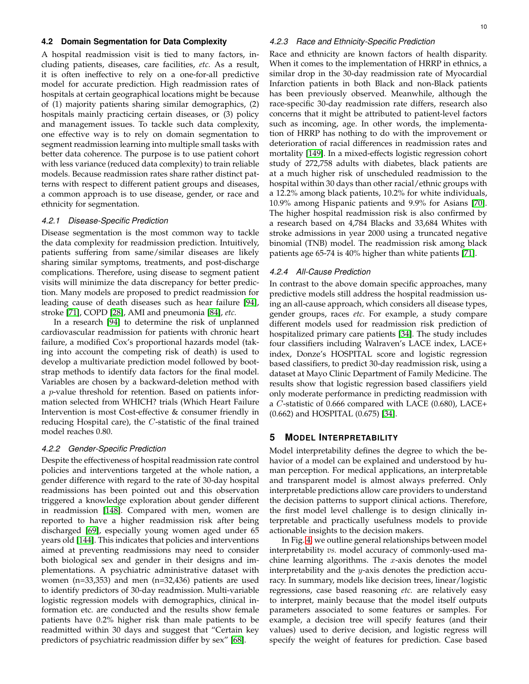## **4.2 Domain Segmentation for Data Complexity**

A hospital readmission visit is tied to many factors, including patients, diseases, care facilities, *etc.* As a result, it is often ineffective to rely on a one-for-all predictive model for accurate prediction. High readmission rates of hospitals at certain geographical locations might be because of (1) majority patients sharing similar demographics, (2) hospitals mainly practicing certain diseases, or (3) policy and management issues. To tackle such data complexity, one effective way is to rely on domain segmentation to segment readmission learning into multiple small tasks with better data coherence. The purpose is to use patient cohort with less variance (reduced data complexity) to train reliable models. Because readmission rates share rather distinct patterns with respect to different patient groups and diseases, a common approach is to use disease, gender, or race and ethnicity for segmentation.

#### *4.2.1 Disease-Specific Prediction*

Disease segmentation is the most common way to tackle the data complexity for readmission prediction. Intuitively, patients suffering from same/similar diseases are likely sharing similar symptoms, treatments, and post-discharge complications. Therefore, using disease to segment patient visits will minimize the data discrepancy for better prediction. Many models are proposed to predict readmission for leading cause of death diseases such as hear failure [\[94\]](#page-18-3), stroke [\[71\]](#page-17-7), COPD [\[28\]](#page-17-6), AMI and pneumonia [\[84\]](#page-18-43), *etc.*

In a research [\[94\]](#page-18-3) to determine the risk of unplanned cardiovascular readmission for patients with chronic heart failure, a modified Cox's proportional hazards model (taking into account the competing risk of death) is used to develop a multivariate prediction model followed by bootstrap methods to identify data factors for the final model. Variables are chosen by a backward-deletion method with a p-value threshold for retention. Based on patients information selected from WHICH? trials (Which Heart Failure Intervention is most Cost-effective & consumer friendly in reducing Hospital care), the C-statistic of the final trained model reaches 0.80.

#### *4.2.2 Gender-Specific Prediction*

Despite the effectiveness of hospital readmission rate control policies and interventions targeted at the whole nation, a gender difference with regard to the rate of 30-day hospital readmissions has been pointed out and this observation triggered a knowledge exploration about gender different in readmission [\[148\]](#page-19-21). Compared with men, women are reported to have a higher readmission risk after being discharged [\[69\]](#page-17-31), especially young women aged under 65 years old [\[144\]](#page-19-16). This indicates that policies and interventions aimed at preventing readmissions may need to consider both biological sex and gender in their designs and implementations. A psychiatric administrative dataset with women (n=33,353) and men (n=32,436) patients are used to identify predictors of 30-day readmission. Multi-variable logistic regression models with demographics, clinical information etc. are conducted and the results show female patients have 0.2% higher risk than male patients to be readmitted within 30 days and suggest that "Certain key predictors of psychiatric readmission differ by sex" [\[68\]](#page-17-20).

## *4.2.3 Race and Ethnicity-Specific Prediction*

Race and ethnicity are known factors of health disparity. When it comes to the implementation of HRRP in ethnics, a similar drop in the 30-day readmission rate of Myocardial Infarction patients in both Black and non-Black patients has been previously observed. Meanwhile, although the race-specific 30-day readmission rate differs, research also concerns that it might be attributed to patient-level factors such as incoming, age. In other words, the implementation of HRRP has nothing to do with the improvement or deterioration of racial differences in readmission rates and mortality [\[149\]](#page-19-22). In a mixed-effects logistic regression cohort study of 272,758 adults with diabetes, black patients are at a much higher risk of unscheduled readmission to the hospital within 30 days than other racial/ethnic groups with a 12.2% among black patients, 10.2% for white individuals, 10.9% among Hispanic patients and 9.9% for Asians [\[70\]](#page-17-27). The higher hospital readmission risk is also confirmed by a research based on 4,784 Blacks and 33,684 Whites with stroke admissions in year 2000 using a truncated negative binomial (TNB) model. The readmission risk among black patients age 65-74 is 40% higher than white patients [\[71\]](#page-17-7).

## *4.2.4 All-Cause Prediction*

In contrast to the above domain specific approaches, many predictive models still address the hospital readmission using an all-cause approach, which considers all disease types, gender groups, races *etc*. For example, a study compare different models used for readmission risk prediction of hospitalized primary care patients [\[34\]](#page-17-14). The study includes four classifiers including Walraven's LACE index, LACE+ index, Donze's HOSPITAL score and logistic regression based classifiers, to predict 30-day readmission risk, using a dataset at Mayo Clinic Department of Family Medicine. The results show that logistic regression based classifiers yield only moderate performance in predicting readmission with a C-statistic of 0.666 compared with LACE (0.680), LACE+ (0.662) and HOSPITAL (0.675) [\[34\]](#page-17-14).

## **5 MODEL INTERPRETABILITY**

Model interpretability defines the degree to which the behavior of a model can be explained and understood by human perception. For medical applications, an interpretable and transparent model is almost always preferred. Only interpretable predictions allow care providers to understand the decision patterns to support clinical actions. Therefore, the first model level challenge is to design clinically interpretable and practically usefulness models to provide actionable insights to the decision makers.

In Fig. [4,](#page-10-0) we outline general relationships between model interpretability *vs.* model accuracy of commonly-used machine learning algorithms. The  $x$ -axis denotes the model interpretability and the y-axis denotes the prediction accuracy. In summary, models like decision trees, linear/logistic regressions, case based reasoning *etc.* are relatively easy to interpret, mainly because that the model itself outputs parameters associated to some features or samples. For example, a decision tree will specify features (and their values) used to derive decision, and logistic regress will specify the weight of features for prediction. Case based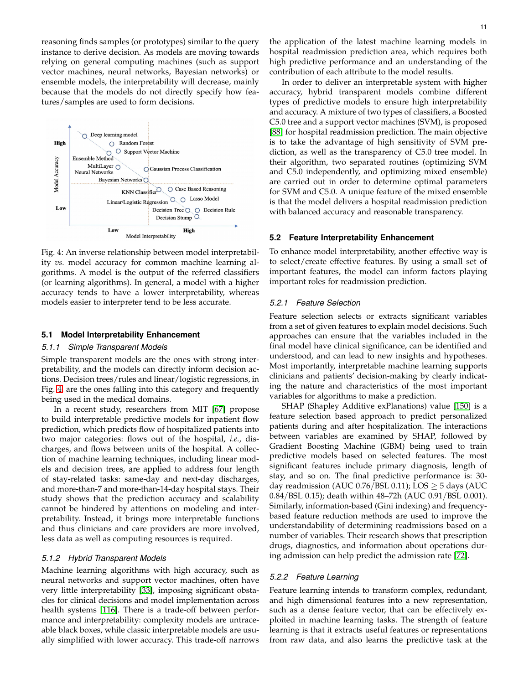reasoning finds samples (or prototypes) similar to the query instance to derive decision. As models are moving towards relying on general computing machines (such as support vector machines, neural networks, Bayesian networks) or ensemble models, the interpretability will decrease, mainly because that the models do not directly specify how features/samples are used to form decisions.

<span id="page-10-0"></span>

Fig. 4: An inverse relationship between model interpretability *vs.* model accuracy for common machine learning algorithms. A model is the output of the referred classifiers (or learning algorithms). In general, a model with a higher accuracy tends to have a lower interpretability, whereas models easier to interpreter tend to be less accurate.

#### **5.1 Model Interpretability Enhancement**

#### *5.1.1 Simple Transparent Models*

Simple transparent models are the ones with strong interpretability, and the models can directly inform decision actions. Decision trees/rules and linear/logistic regressions, in Fig. [4,](#page-10-0) are the ones falling into this category and frequently being used in the medical domains.

In a recent study, researchers from MIT [\[67\]](#page-17-10) propose to build interpretable predictive models for inpatient flow prediction, which predicts flow of hospitalized patients into two major categories: flows out of the hospital, *i.e.*, discharges, and flows between units of the hospital. A collection of machine learning techniques, including linear models and decision trees, are applied to address four length of stay-related tasks: same-day and next-day discharges, and more-than-7 and more-than-14-day hospital stays. Their study shows that the prediction accuracy and scalability cannot be hindered by attentions on modeling and interpretability. Instead, it brings more interpretable functions and thus clinicians and care providers are more involved, less data as well as computing resources is required.

### *5.1.2 Hybrid Transparent Models*

Machine learning algorithms with high accuracy, such as neural networks and support vector machines, often have very little interpretability [\[33\]](#page-17-24), imposing significant obstacles for clinical decisions and model implementation across health systems [\[116\]](#page-18-28). There is a trade-off between performance and interpretability: complexity models are untraceable black boxes, while classic interpretable models are usually simplified with lower accuracy. This trade-off narrows

In order to deliver an interpretable system with higher accuracy, hybrid transparent models combine different types of predictive models to ensure high interpretability and accuracy. A mixture of two types of classifiers, a Boosted C5.0 tree and a support vector machines (SVM), is proposed [\[88\]](#page-18-45) for hospital readmission prediction. The main objective is to take the advantage of high sensitivity of SVM prediction, as well as the transparency of C5.0 tree model. In their algorithm, two separated routines (optimizing SVM and C5.0 independently, and optimizing mixed ensemble) are carried out in order to determine optimal parameters for SVM and C5.0. A unique feature of the mixed ensemble is that the model delivers a hospital readmission prediction with balanced accuracy and reasonable transparency.

contribution of each attribute to the model results.

#### **5.2 Feature Interpretability Enhancement**

To enhance model interpretability, another effective way is to select/create effective features. By using a small set of important features, the model can inform factors playing important roles for readmission prediction.

### *5.2.1 Feature Selection*

Feature selection selects or extracts significant variables from a set of given features to explain model decisions. Such approaches can ensure that the variables included in the final model have clinical significance, can be identified and understood, and can lead to new insights and hypotheses. Most importantly, interpretable machine learning supports clinicians and patients' decision-making by clearly indicating the nature and characteristics of the most important variables for algorithms to make a prediction.

SHAP (Shapley Additive exPlanations) value [\[150\]](#page-19-23) is a feature selection based approach to predict personalized patients during and after hospitalization. The interactions between variables are examined by SHAP, followed by Gradient Boosting Machine (GBM) being used to train predictive models based on selected features. The most significant features include primary diagnosis, length of stay, and so on. The final predictive performance is: 30 day readmission (AUC  $0.76$ /BSL 0.11); LOS  $\geq$  5 days (AUC 0.84/BSL 0.15); death within 48–72h (AUC 0.91/BSL 0.001). Similarly, information-based (Gini indexing) and frequencybased feature reduction methods are used to improve the understandability of determining readmissions based on a number of variables. Their research shows that prescription drugs, diagnostics, and information about operations during admission can help predict the admission rate [\[72\]](#page-17-2).

#### *5.2.2 Feature Learning*

Feature learning intends to transform complex, redundant, and high dimensional features into a new representation, such as a dense feature vector, that can be effectively exploited in machine learning tasks. The strength of feature learning is that it extracts useful features or representations from raw data, and also learns the predictive task at the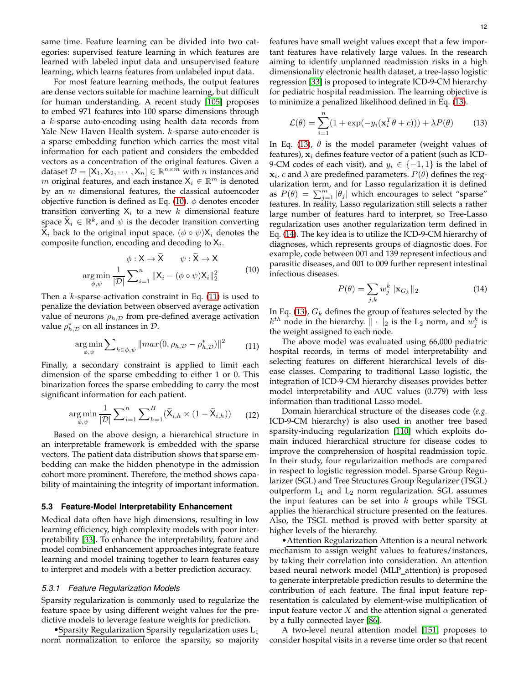same time. Feature learning can be divided into two categories: supervised feature learning in which features are learned with labeled input data and unsupervised feature learning, which learns features from unlabeled input data.

For most feature learning methods, the output features are dense vectors suitable for machine learning, but difficult for human understanding. A recent study [\[105\]](#page-18-25) proposes to embed 971 features into 100 sparse dimensions through a k-sparse auto-encoding using health data records from Yale New Haven Health system. k-sparse auto-encoder is a sparse embedding function which carries the most vital information for each patient and considers the embedded vectors as a concentration of the original features. Given a dataset  $\mathcal{D} = [\mathsf{X}_1, \mathsf{X}_2, \cdots, \mathsf{X}_n] \in \mathbb{R}^{n \times m}$  with n instances and m original features, and each instance  $X_i \in \mathbb{R}^m$  is denoted by an  $m$  dimensional features, the classical autoencoder objective function is defined as Eq. [\(10\)](#page-11-0).  $\phi$  denotes encoder transition converting  $X_i$  to a new k dimensional feature space  $\widetilde{\mathsf{X}}_i \in \mathbb{R}^k$ , and  $\overline{\psi}$  is the decoder transition converting  $\widetilde{\mathsf{X}}_i$  back to the original input space.  $(\phi \circ \psi) \mathsf{X}_i$  denotes the composite function, encoding and decoding to  $X_i$ .

<span id="page-11-0"></span>
$$
\phi: \mathsf{X} \to \widetilde{\mathsf{X}} \qquad \psi: \widetilde{\mathsf{X}} \to \mathsf{X}
$$
  
arg min  $\frac{1}{\phi, \psi} \sum_{i=1}^{n} \|\mathsf{X}_{i} - (\phi \circ \psi)\mathsf{X}_{i}\|_{2}^{2}$  (10)

Then a  $k$ -sparse activation constraint in Eq. [\(11\)](#page-11-1) is used to penalize the deviation between observed average activation value of neurons  $\rho_{h,\mathcal{D}}$  from pre-defined average activation value  $\rho_{h,\mathcal{D}}^*$  on all instances in  $\mathcal{D}$ .

<span id="page-11-1"></span>
$$
\underset{\phi,\psi}{\arg\min} \sum_{h\in\phi,\psi} \|max(0,\rho_{h,\mathcal{D}}-\rho_{h,\mathcal{D}}^{*})\|^{2} \qquad (11)
$$

Finally, a secondary constraint is applied to limit each dimension of the sparse embedding to either 1 or 0. This binarization forces the sparse embedding to carry the most significant information for each patient.

$$
\underset{\phi,\psi}{\arg\min} \frac{1}{|\mathcal{D}|} \sum_{i=1}^{n} \sum_{h=1}^{H} (\widetilde{\mathsf{X}}_{i,h} \times (1 - \widetilde{\mathsf{X}}_{i,h})) \qquad (12)
$$

Based on the above design, a hierarchical structure in an interpretable framework is embedded with the sparse vectors. The patient data distribution shows that sparse embedding can make the hidden phenotype in the admission cohort more prominent. Therefore, the method shows capability of maintaining the integrity of important information.

### **5.3 Feature-Model Interpretability Enhancement**

Medical data often have high dimensions, resulting in low learning efficiency, high complexity models with poor interpretability [\[33\]](#page-17-24). To enhance the interpretability, feature and model combined enhancement approaches integrate feature learning and model training together to learn features easy to interpret and models with a better prediction accuracy.

#### *5.3.1 Feature Regularization Models*

Sparsity regularization is commonly used to regularize the feature space by using different weight values for the predictive models to leverage feature weights for prediction.

• Sparsity Regularization Sparsity regularization uses  $L_1$ norm normalization to enforce the sparsity, so majority features have small weight values except that a few important features have relatively large values. In the research aiming to identify unplanned readmission risks in a high dimensionality electronic health dataset, a tree-lasso logistic regression [\[33\]](#page-17-24) is proposed to integrate ICD-9-CM hierarchy for pediatric hospital readmission. The learning objective is to minimize a penalized likelihood defined in Eq. [\(13\)](#page-11-2).

<span id="page-11-2"></span>
$$
\mathcal{L}(\theta) = \sum_{i=1}^{n} (1 + \exp(-y_i(\mathbf{x}_i^T \theta + c))) + \lambda P(\theta)
$$
 (13)

In Eq. [\(13\)](#page-11-2),  $\theta$  is the model parameter (weight values of features),  $x_i$  defines feature vector of a patient (such as ICD-9-CM codes of each visit), and  $y_i \in \{-1,1\}$  is the label of  $\mathbf{x}_i$ . c and  $\lambda$  are predefined parameters.  $P(\theta)$  defines the regularization term, and for Lasso regularization it is defined as  $P(\theta) = \sum_{j=1}^{m} |\theta_j|$  which encourages to select "sparse" features. In reality, Lasso regularization still selects a rather large number of features hard to interpret, so Tree-Lasso regularization uses another regularization term defined in Eq. [\(14\)](#page-11-3). The key idea is to utilize the ICD-9-CM hierarchy of diagnoses, which represents groups of diagnostic does. For example, code between 001 and 139 represent infectious and parasitic diseases, and 001 to 009 further represent intestinal infectious diseases.

<span id="page-11-3"></span>
$$
P(\theta) = \sum_{j,k} w_j^k ||\mathbf{x}_{G_k}||_2
$$
\n(14)

In Eq. [\(13\)](#page-11-2),  $G_k$  defines the group of features selected by the  $k^{th}$  node in the hierarchy.  $||\cdot||_2$  is the  $\mathrm{L}_2$  norm, and  $w_j^k$  is the weight assigned to each node.

The above model was evaluated using 66,000 pediatric hospital records, in terms of model interpretability and selecting features on different hierarchical levels of disease classes. Comparing to traditional Lasso logistic, the integration of ICD-9-CM hierarchy diseases provides better model interpretability and AUC values (0.779) with less information than traditional Lasso model.

Domain hierarchical structure of the diseases code (*e.g.* ICD-9-CM hierarchy) is also used in another tree based sparsity-inducing regularization [\[110\]](#page-18-27) which exploits domain induced hierarchical structure for disease codes to improve the comprehension of hospital readmission topic. In their study, four regularizaition methods are compared in respect to logistic regression model. Sparse Group Regularizer (SGL) and Tree Structures Group Regularizer (TSGL) outperform  $L_1$  and  $L_2$  norm regularization. SGL assumes the input features can be set into  $k$  groups while TSGL applies the hierarchical structure presented on the features. Also, the TSGL method is proved with better sparsity at higher levels of the hierarchy.

•Attention Regularization Attention is a neural network mechanism to assign weight values to features/instances, by taking their correlation into consideration. An attention based neural network model (MLP attention) is proposed to generate interpretable prediction results to determine the contribution of each feature. The final input feature representation is calculated by element-wise multiplication of input feature vector X and the attention signal  $\alpha$  generated by a fully connected layer [\[86\]](#page-18-14).

A two-level neural attention model [\[151\]](#page-19-24) proposes to consider hospital visits in a reverse time order so that recent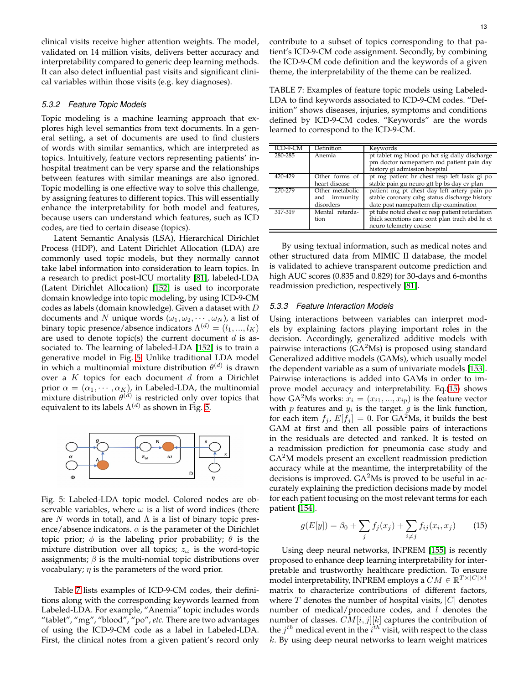clinical visits receive higher attention weights. The model, validated on 14 million visits, delivers better accuracy and interpretability compared to generic deep learning methods. It can also detect influential past visits and significant clinical variables within those visits (e.g. key diagnoses).

## *5.3.2 Feature Topic Models*

Topic modeling is a machine learning approach that explores high level semantics from text documents. In a general setting, a set of documents are used to find clusters of words with similar semantics, which are interpreted as topics. Intuitively, feature vectors representing patients' inhospital treatment can be very sparse and the relationships between features with similar meanings are also ignored. Topic modelling is one effective way to solve this challenge, by assigning features to different topics. This will essentially enhance the interpretability for both model and features, because users can understand which features, such as ICD codes, are tied to certain disease (topics).

Latent Semantic Analysis (LSA), Hierarchical Dirichlet Process (HDP), and Latent Dirichlet Allocation (LDA) are commonly used topic models, but they normally cannot take label information into consideration to learn topics. In a research to predict post-ICU mortality [\[81\]](#page-18-11), labeled-LDA (Latent Dirichlet Allocation) [\[152\]](#page-19-25) is used to incorporate domain knowledge into topic modeling, by using ICD-9-CM codes as labels (domain knowledge). Given a dataset with D documents and N unique words  $(\omega_1, \omega_2, \cdots, \omega_N)$ , a list of binary topic presence/absence indicators  $\Lambda^{(d)} = (l_1, ..., l_K)$ are used to denote topic(s) the current document  $d$  is associated to. The learning of labeled-LDA [\[152\]](#page-19-25) is to train a generative model in Fig. [5.](#page-12-0) Unlike traditional LDA model in which a multinomial mixture distribution  $\theta^{(d)}$  is drawn over a  $K$  topics for each document  $d$  from a Dirichlet prior  $\alpha = (\alpha_1, \cdots, \alpha_K)$ , in Labeled-LDA, the multinomial mixture distribution  $\theta^{(d)}$  is restricted only over topics that equivalent to its labels  $\Lambda^{(d)}$  as shown in Fig. [5.](#page-12-0)

<span id="page-12-0"></span>

Fig. 5: Labeled-LDA topic model. Colored nodes are observable variables, where  $\omega$  is a list of word indices (there are N words in total), and  $\Lambda$  is a list of binary topic presence/absence indicators.  $\alpha$  is the parameter of the Dirichlet topic prior;  $\phi$  is the labeling prior probability;  $\theta$  is the mixture distribution over all topics;  $z_{\omega}$  is the word-topic assignments;  $\beta$  is the multi-nomial topic distributions over vocabulary;  $\eta$  is the parameters of the word prior.

Table [7](#page-12-1) lists examples of ICD-9-CM codes, their definitions along with the corresponding keywords learned from Labeled-LDA. For example, "Anemia" topic includes words "tablet", "mg", "blood", "po", *etc.* There are two advantages of using the ICD-9-CM code as a label in Labeled-LDA. First, the clinical notes from a given patient's record only

<span id="page-12-1"></span>TABLE 7: Examples of feature topic models using Labeled-LDA to find keywords associated to ICD-9-CM codes. "Definition" shows diseases, injuries, symptoms and conditions defined by ICD-9-CM codes. "Keywords" are the words learned to correspond to the ICD-9-CM.

| ICD-9-CM | <b>Definition</b>                            | Keywords                                                                                                                               |
|----------|----------------------------------------------|----------------------------------------------------------------------------------------------------------------------------------------|
| 280-285  | Anemia                                       | pt tablet mg blood po hct sig daily discharge<br>pm doctor namepattern md patient pain day<br>history gi admission hospital            |
| 420-429  | Other forms of<br>heart disease              | pt mg patient hr chest resp left lasix gi po<br>stable pain gu neuro gtt bp bs day cv plan                                             |
| 270-279  | Other metabolic<br>and immunity<br>disorders | patient mg pt chest day left artery pain po<br>stable coronary cabg status discharge history<br>date post namepattern clip examination |
| 317-319  | Mental retarda-<br>tion                      | pt tube noted chest cc resp patient retardation<br>thick secretions care cont plan trach abd hr ct<br>neuro telemetry coarse           |

By using textual information, such as medical notes and other structured data from MIMIC II database, the model is validated to achieve transparent outcome prediction and high AUC scores (0.835 and 0.829) for 30-days and 6-months readmission prediction, respectively [\[81\]](#page-18-11).

#### *5.3.3 Feature Interaction Models*

Using interactions between variables can interpret models by explaining factors playing important roles in the decision. Accordingly, generalized additive models with pairwise interactions  $(GA<sup>2</sup>Ms)$  is proposed using standard Generalized additive models (GAMs), which usually model the dependent variable as a sum of univariate models [\[153\]](#page-19-26). Pairwise interactions is added into GAMs in order to improve model accuracy and interpretability. Eq.[\(15\)](#page-12-2) shows how GA<sup>2</sup>Ms works:  $x_i = (x_{i1},...,x_{ip})$  is the feature vector with  $p$  features and  $y_i$  is the target.  $g$  is the link function, for each item  $f_i$ ,  $E[f_i] = 0$ . For GA<sup>2</sup>Ms, it builds the best GAM at first and then all possible pairs of interactions in the residuals are detected and ranked. It is tested on a readmission prediction for pneumonia case study and GA<sup>2</sup>M models present an excellent readmission prediction accuracy while at the meantime, the interpretability of the decisions is improved.  $GA<sup>2</sup>Ms$  is proved to be useful in accurately explaining the prediction decisions made by model for each patient focusing on the most relevant terms for each patient [\[154\]](#page-19-27).

<span id="page-12-2"></span>
$$
g(E[y]) = \beta_0 + \sum_j f_j(x_j) + \sum_{i \neq j} f_{ij}(x_i, x_j)
$$
 (15)

Using deep neural networks, INPREM [\[155\]](#page-19-28) is recently proposed to enhance deep learning interpretability for interpretable and trustworthy healthcare prediction. To ensure model interpretability, INPREM employs a  $CM \in \mathbb{R}^{T \times |C| \times l}$ matrix to characterize contributions of different factors, where  $T$  denotes the number of hospital visits,  $|C|$  denotes number of medical/procedure codes, and  $l$  denotes the number of classes.  $CM[i, j][k]$  captures the contribution of the  $j^{th}$  medical event in the  $i^{th}$  visit, with respect to the class  $k$ . By using deep neural networks to learn weight matrices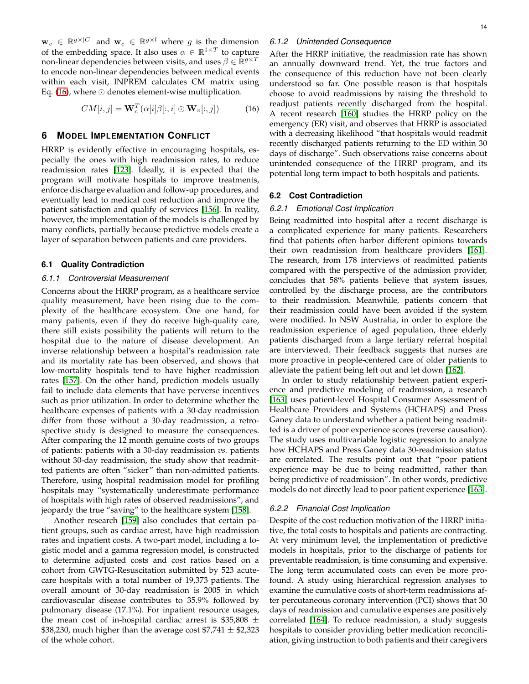$\mathbf{w}_v \in \mathbb{R}^{g \times |C|}$  and  $\mathbf{w}_c \in \mathbb{R}^{g \times l}$  where g is the dimension of the embedding space. It also uses  $\alpha \in \mathbb{R}^{1 \times T}$  to capture non-linear dependencies between visits, and uses  $\beta \in \mathbb{R}^{g \times T}$ to encode non-linear dependencies between medical events within each visit, INPREM calculates CM matrix using Eq. [\(16\)](#page-13-0), where ⊙ denotes element-wise multiplication.

<span id="page-13-0"></span>
$$
CM[i, j] = \mathbf{W}_c^T(\alpha[i]\beta[:, i] \odot \mathbf{W}_v[:, j]) \tag{16}
$$

## **6 MODEL IMPLEMENTATION CONFLICT**

HRRP is evidently effective in encouraging hospitals, especially the ones with high readmission rates, to reduce readmission rates [\[123\]](#page-19-1). Ideally, it is expected that the program will motivate hospitals to improve treatments, enforce discharge evaluation and follow-up procedures, and eventually lead to medical cost reduction and improve the patient satisfaction and qualify of services [\[156\]](#page-19-29). In reality, however, the implementation of the models is challenged by many conflicts, partially because predictive models create a layer of separation between patients and care providers.

### **6.1 Quality Contradiction**

#### *6.1.1 Controversial Measurement*

Concerns about the HRRP program, as a healthcare service quality measurement, have been rising due to the complexity of the healthcare ecosystem. One one hand, for many patients, even if they do receive high-quality care, there still exists possibility the patients will return to the hospital due to the nature of disease development. An inverse relationship between a hospital's readmission rate and its mortality rate has been observed, and shows that low-mortality hospitals tend to have higher readmission rates [\[157\]](#page-19-30). On the other hand, prediction models usually fail to include data elements that have perverse incentives such as prior utilization. In order to determine whether the healthcare expenses of patients with a 30-day readmission differ from those without a 30-day readmission, a retrospective study is designed to measure the consequences. After comparing the 12 month genuine costs of two groups of patients: patients with a 30-day readmission *vs.* patients without 30-day readmission, the study show that readmitted patients are often "sicker" than non-admitted patients. Therefore, using hospital readmission model for profiling hospitals may "systematically underestimate performance of hospitals with high rates of observed readmissions", and jeopardy the true "saving" to the healthcare system [\[158\]](#page-19-31).

Another research [\[159\]](#page-19-32) also concludes that certain patient groups, such as cardiac arrest, have high readmission rates and inpatient costs. A two-part model, including a logistic model and a gamma regression model, is constructed to determine adjusted costs and cost ratios based on a cohort from GWTG-Resuscitation submitted by 523 acutecare hospitals with a total number of 19,373 patients. The overall amount of 30-day readmission is 2005 in which cardiovascular disease contributes to 35.9% followed by pulmonary disease (17.1%). For inpatient resource usages, the mean cost of in-hospital cardiac arrest is  $$35,808 \pm$ \$38,230, much higher than the average cost  $$7,741 \pm $2,323$ of the whole cohort.

## *6.1.2 Unintended Consequence*

After the HRRP initiative, the readmission rate has shown an annually downward trend. Yet, the true factors and the consequence of this reduction have not been clearly understood so far. One possible reason is that hospitals choose to avoid readmissions by raising the threshold to readjust patients recently discharged from the hospital. A recent research [\[160\]](#page-19-33) studies the HRRP policy on the emergency (ER) visit, and observes that HRRP is associated with a decreasing likelihood "that hospitals would readmit recently discharged patients returning to the ED within 30 days of discharge". Such observations raise concerns about unintended consequence of the HRRP program, and its potential long term impact to both hospitals and patients.

## **6.2 Cost Contradiction**

### *6.2.1 Emotional Cost Implication*

Being readmitted into hospital after a recent discharge is a complicated experience for many patients. Researchers find that patients often harbor different opinions towards their own readmission from healthcare providers [\[161\]](#page-19-34). The research, from 178 interviews of readmitted patients compared with the perspective of the admission provider, concludes that 58% patients believe that system issues, controlled by the discharge process, are the contributors to their readmission. Meanwhile, patients concern that their readmission could have been avoided if the system were modified. In NSW Australia, in order to explore the readmission experience of aged population, three elderly patients discharged from a large tertiary referral hospital are interviewed. Their feedback suggests that nurses are more proactive in people-centered care of older patients to alleviate the patient being left out and let down [\[162\]](#page-19-35).

In order to study relationship between patient experience and predictive modeling of readmission, a research [\[163\]](#page-19-36) uses patient-level Hospital Consumer Assessment of Healthcare Providers and Systems (HCHAPS) and Press Ganey data to understand whether a patient being readmitted is a driver of poor experience scores (reverse causation). The study uses multivariable logistic regression to analyze how HCHAPS and Press Ganey data 30-readmission status are correlated. The results point out that "poor patient experience may be due to being readmitted, rather than being predictive of readmission". In other words, predictive models do not directly lead to poor patient experience [\[163\]](#page-19-36).

## *6.2.2 Financial Cost Implication*

Despite of the cost reduction motivation of the HRRP initiative, the total costs to hospitals and patients are contracting. At very minimum level, the implementation of predictive models in hospitals, prior to the discharge of patients for preventable readmission, is time consuming and expensive. The long term accumulated costs can even be more profound. A study using hierarchical regression analyses to examine the cumulative costs of short-term readmissions after percutaneous coronary intervention (PCI) shows that 30 days of readmission and cumulative expenses are positively correlated [\[164\]](#page-19-37). To reduce readmission, a study suggests hospitals to consider providing better medication reconciliation, giving instruction to both patients and their caregivers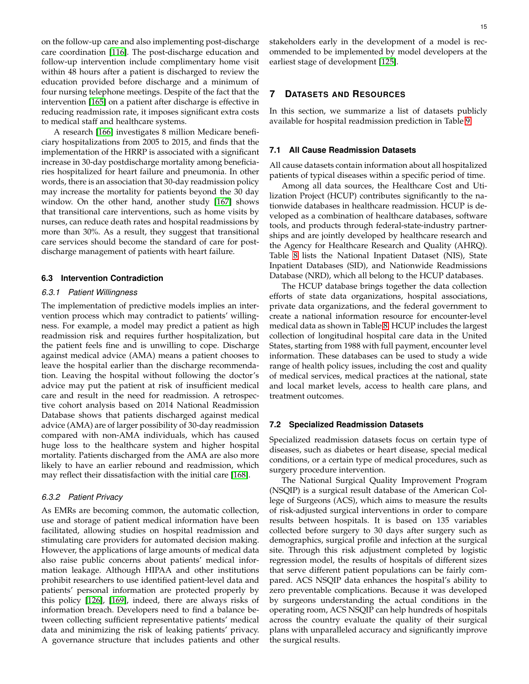on the follow-up care and also implementing post-discharge care coordination [\[116\]](#page-18-28). The post-discharge education and follow-up intervention include complimentary home visit within 48 hours after a patient is discharged to review the education provided before discharge and a minimum of four nursing telephone meetings. Despite of the fact that the intervention [\[165\]](#page-19-38) on a patient after discharge is effective in reducing readmission rate, it imposes significant extra costs to medical staff and healthcare systems.

A research [\[166\]](#page-19-39) investigates 8 million Medicare beneficiary hospitalizations from 2005 to 2015, and finds that the implementation of the HRRP is associated with a significant increase in 30-day postdischarge mortality among beneficiaries hospitalized for heart failure and pneumonia. In other words, there is an association that 30-day readmission policy may increase the mortality for patients beyond the 30 day window. On the other hand, another study [\[167\]](#page-19-40) shows that transitional care interventions, such as home visits by nurses, can reduce death rates and hospital readmissions by more than 30%. As a result, they suggest that transitional care services should become the standard of care for postdischarge management of patients with heart failure.

## **6.3 Intervention Contradiction**

#### *6.3.1 Patient Willingness*

The implementation of predictive models implies an intervention process which may contradict to patients' willingness. For example, a model may predict a patient as high readmission risk and requires further hospitalization, but the patient feels fine and is unwilling to cope. Discharge against medical advice (AMA) means a patient chooses to leave the hospital earlier than the discharge recommendation. Leaving the hospital without following the doctor's advice may put the patient at risk of insufficient medical care and result in the need for readmission. A retrospective cohort analysis based on 2014 National Readmission Database shows that patients discharged against medical advice (AMA) are of larger possibility of 30-day readmission compared with non-AMA individuals, which has caused huge loss to the healthcare system and higher hospital mortality. Patients discharged from the AMA are also more likely to have an earlier rebound and readmission, which may reflect their dissatisfaction with the initial care [\[168\]](#page-19-41).

## *6.3.2 Patient Privacy*

As EMRs are becoming common, the automatic collection, use and storage of patient medical information have been facilitated, allowing studies on hospital readmission and stimulating care providers for automated decision making. However, the applications of large amounts of medical data also raise public concerns about patients' medical information leakage. Although HIPAA and other institutions prohibit researchers to use identified patient-level data and patients' personal information are protected properly by this policy [\[126\]](#page-19-4), [\[169\]](#page-19-42), indeed, there are always risks of information breach. Developers need to find a balance between collecting sufficient representative patients' medical data and minimizing the risk of leaking patients' privacy. A governance structure that includes patients and other

stakeholders early in the development of a model is recommended to be implemented by model developers at the earliest stage of development [\[125\]](#page-19-3).

## **7 DATASETS AND RESOURCES**

In this section, we summarize a list of datasets publicly available for hospital readmission prediction in Table [9.](#page-16-17)

#### **7.1 All Cause Readmission Datasets**

All cause datasets contain information about all hospitalized patients of typical diseases within a specific period of time.

Among all data sources, the Healthcare Cost and Utilization Project (HCUP) contributes significantly to the nationwide databases in healthcare readmission. HCUP is developed as a combination of healthcare databases, software tools, and products through federal-state-industry partnerships and are jointly developed by healthcare research and the Agency for Healthcare Research and Quality (AHRQ). Table [8](#page-15-5) lists the National Inpatient Dataset (NIS), State Inpatient Databases (SID), and Nationwide Readmissions Database (NRD), which all belong to the HCUP databases.

The HCUP database brings together the data collection efforts of state data organizations, hospital associations, private data organizations, and the federal government to create a national information resource for encounter-level medical data as shown in Table [8.](#page-15-5) HCUP includes the largest collection of longitudinal hospital care data in the United States, starting from 1988 with full payment, encounter level information. These databases can be used to study a wide range of health policy issues, including the cost and quality of medical services, medical practices at the national, state and local market levels, access to health care plans, and treatment outcomes.

#### **7.2 Specialized Readmission Datasets**

Specialized readmission datasets focus on certain type of diseases, such as diabetes or heart disease, special medical conditions, or a certain type of medical procedures, such as surgery procedure intervention.

The National Surgical Quality Improvement Program (NSQIP) is a surgical result database of the American College of Surgeons (ACS), which aims to measure the results of risk-adjusted surgical interventions in order to compare results between hospitals. It is based on 135 variables collected before surgery to 30 days after surgery such as demographics, surgical profile and infection at the surgical site. Through this risk adjustment completed by logistic regression model, the results of hospitals of different sizes that serve different patient populations can be fairly compared. ACS NSQIP data enhances the hospital's ability to zero preventable complications. Because it was developed by surgeons understanding the actual conditions in the operating room, ACS NSQIP can help hundreds of hospitals across the country evaluate the quality of their surgical plans with unparalleled accuracy and significantly improve the surgical results.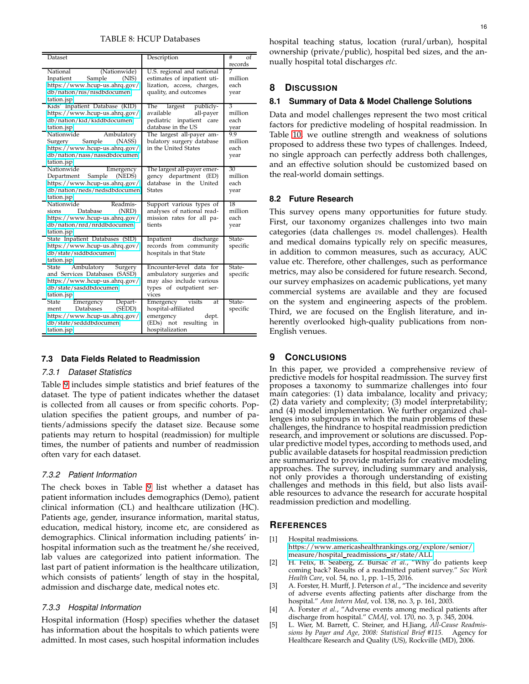## TABLE 8: HCUP Databases

<span id="page-15-5"></span>

| Dataset                                                                                                                                                                 | Description                                                                                                                               | #<br>οf                           |
|-------------------------------------------------------------------------------------------------------------------------------------------------------------------------|-------------------------------------------------------------------------------------------------------------------------------------------|-----------------------------------|
|                                                                                                                                                                         |                                                                                                                                           | records                           |
| National<br>(Nationwide)<br>Sample<br>Inpatient<br>(NIS)<br>https://www.hcup-us.ahrq.gov/<br>db/nation/nis/nisdbdocumen<br>tation.jsp<br>Kids' Inpatient Database (KID) | U.S. regional and national<br>estimates of inpatient uti-<br>lization, access, charges,<br>quality, and outcomes<br>The largest publicly- | 7<br>million<br>each<br>year<br>3 |
| https://www.hcup-us.ahrq.gov/<br>db/nation/kid/kiddbdocumen<br>tation.jsp                                                                                               | available<br>all-payer<br>pediatric inpatient care<br>database in the US                                                                  | million<br>each<br>year           |
| Nationwide<br>Ambulatory<br>Sample<br>(NASS)<br>Surgery<br>https://www.hcup-us.ahrq.gov/<br>db/nation/nass/nassdbdocumen<br>tation.jsp                                  | The largest all-payer am-<br>bulatory surgery database<br>in the United States                                                            | 9.9<br>million<br>each<br>year    |
| Nationwide<br>Emergency<br>(NEDS)<br>Sample<br>Department<br>https://www.hcup-us.ahrq.gov/<br>db/nation/neds/nedsdbdocumen<br>tation.jsp                                | The largest all-payer emer-<br>gency department (ED)<br>database in the United<br><b>States</b>                                           | 30<br>million<br>each<br>year     |
| Nationwide<br>Readmis-<br>Database<br>(NRD)<br>sions<br>https://www.hcup-us.ahrq.gov/<br>db/nation/nrd/nrddbdocumen<br>tation.jsp                                       | Support various types of<br>analyses of national read-<br>mission rates for all pa-<br>tients                                             | 18<br>million<br>each<br>year     |
| State Inpatient Databases (SID)<br>https://www.hcup-us.ahrq.gov/<br>db/state/siddbdocumen<br>tation.jsp                                                                 | Inpatient<br>discharge<br>records from community<br>hospitals in that State                                                               | State-<br>specific                |
| Ambulatory Surgery<br>State<br>and Services Databases (SASD)<br>https://www.hcup-us.ahrq.gov/<br>db/state/sasddbdocumen<br>tation.jsp                                   | Encounter-level data for<br>ambulatory surgeries and<br>may also include various<br>types of outpatient ser-<br>vices                     | State-<br>specific                |
| Emergency<br>Depart-<br>State<br>ment Databases<br>(SEDD)<br>https://www.hcup-us.ahrq.gov/<br>db/state/sedddbdocumen<br>tation.jsp                                      | Emergency visits<br>at<br>hospital-affiliated<br>emergency<br>dept.<br>(EDs) not resulting<br>in<br>hospitalization                       | State-<br>specific                |

### **7.3 Data Fields Related to Readmission**

## *7.3.1 Dataset Statistics*

Table [9](#page-16-17) includes simple statistics and brief features of the dataset. The type of patient indicates whether the dataset is collected from all causes or from specific cohorts. Population specifies the patient groups, and number of patients/admissions specify the dataset size. Because some patients may return to hospital (readmission) for multiple times, the number of patients and number of readmission often vary for each dataset.

### *7.3.2 Patient Information*

The check boxes in Table [9](#page-16-17) list whether a dataset has patient information includes demographics (Demo), patient clinical information (CL) and healthcare utilization (HC). Patients age, gender, insurance information, marital status, education, medical history, income etc, are considered as demographics. Clinical information including patients' inhospital information such as the treatment he/she received, lab values are categorized into patient information. The last part of patient information is the healthcare utilization, which consists of patients' length of stay in the hospital, admission and discharge date, medical notes etc.

## *7.3.3 Hospital Information*

Hospital information (Hosp) specifies whether the dataset has information about the hospitals to which patients were admitted. In most cases, such hospital information includes

hospital teaching status, location (rural/urban), hospital ownership (private/public), hospital bed sizes, and the annually hospital total discharges *etc*.

# **8 DISCUSSION**

# **8.1 Summary of Data & Model Challenge Solutions**

Data and model challenges represent the two most critical factors for predictive modeling of hospital readmission. In Table [10,](#page-16-18) we outline strength and weakness of solutions proposed to address these two types of challenges. Indeed, no single approach can perfectly address both challenges, and an effective solution should be customized based on the real-world domain settings.

# **8.2 Future Research**

This survey opens many opportunities for future study. First, our taxonomy organizes challenges into two main categories (data challenges *vs.* model challenges). Health and medical domains typically rely on specific measures, in addition to common measures, such as accuracy, AUC value etc. Therefore, other challenges, such as performance metrics, may also be considered for future research. Second, our survey emphasizes on academic publications, yet many commercial systems are available and they are focused on the system and engineering aspects of the problem. Third, we are focused on the English literature, and inherently overlooked high-quality publications from non-English venues.

### **9 CONCLUSIONS**

In this paper, we provided a comprehensive review of predictive models for hospital readmission. The survey first proposes a taxonomy to summarize challenges into four main categories: (1) data imbalance, locality and privacy; (2) data variety and complexity; (3) model interpretability; and (4) model implementation. We further organized challenges into subgroups in which the main problems of these challenges, the hindrance to hospital readmission prediction research, and improvement or solutions are discussed. Popular predictive model types, according to methods used, and public available datasets for hospital readmission prediction are summarized to provide materials for creative modeling approaches. The survey, including summary and analysis, not only provides a thorough understanding of existing challenges and methods in this field, but also lists available resources to advance the research for accurate hospital readmission prediction and modelling.

## <span id="page-15-0"></span>**REFERENCES**

- [1] Hospital readmissions. https://www.[americashealthrankings](https://www.americashealthrankings.org/explore/senior/measure/hospital_readmissions_sr/state/ALL).org/explore/senior/
- <span id="page-15-1"></span>[measure/hospital](https://www.americashealthrankings.org/explore/senior/measure/hospital_readmissions_sr/state/ALL)\_readmissions\_sr/state/ALL.
- [2] H. Felix, B. Seaberg, Z. Bursac *et al.*, "Why do patients keep coming back? Results of a readmitted patient survey." *Soc Work Health Care*, vol. 54, no. 1, pp. 1–15, 2016.
- <span id="page-15-2"></span>[3] A. Forster, H. Murff, J. Peterson *et al.*, "The incidence and severity of adverse events affecting patients after discharge from the hospital." *Ann Intern Med*, vol. 138, no. 3, p. 161, 2003.
- <span id="page-15-3"></span>[4] A. Forster *et al.*, "Adverse events among medical patients after discharge from hospital." *CMAJ*, vol. 170, no. 3, p. 345, 2004.
- <span id="page-15-4"></span>[5] L. Wier, M. Barrett, C. Steiner, and H.Jiang, *All-Cause Readmissions by Payer and Age, 2008: Statistical Brief #115*. Agency for Healthcare Research and Quality (US), Rockville (MD), 2006.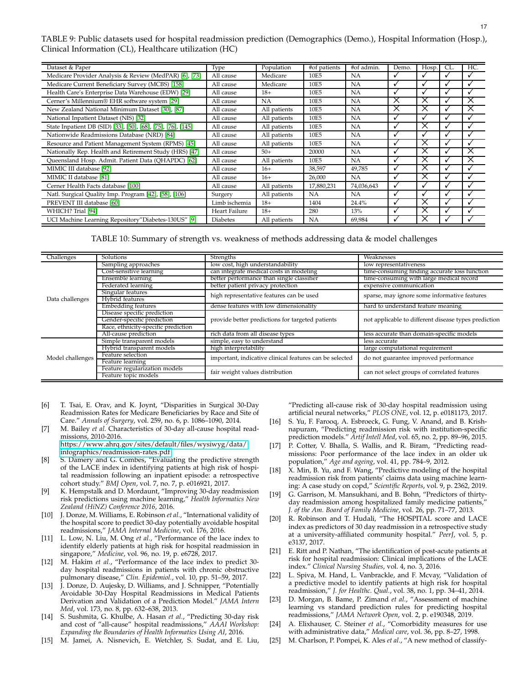<span id="page-16-17"></span>TABLE 9: Public datasets used for hospital readmission prediction (Demographics (Demo.), Hospital Information (Hosp.), Clinical Information (CL), Healthcare utilization (HC)

| Dataset & Paper                                              | Type            | Population   | #of patients | #of admin. | Demo.    | Hosp.        | CL. | HC.      |
|--------------------------------------------------------------|-----------------|--------------|--------------|------------|----------|--------------|-----|----------|
| Medicare Provider Analysis & Review (MedPAR) [6], [73]       | All cause       | Medicare     | 10E5         | <b>NA</b>  |          | ٠            | ✓   |          |
| Medicare Current Beneficiary Survey (MCBS) [158]             | All cause       | Medicare     | 10E5         | <b>NA</b>  |          | ٠            |     |          |
| Health Care's Enterprise Data Warehouse (EDW) [29]           | All cause       | $18+$        | 10E5         | <b>NA</b>  |          | v            | √   |          |
| Cerner's Millennium® EHR software system [29]                | All cause       | <b>NA</b>    | 10E5         | <b>NA</b>  | Х        | X            |     | X        |
| New Zealand National Minimum Dataset [30], [87]              | All cause       | All patients | 10E5         | <b>NA</b>  | $\times$ | $\times$     | √   | $\times$ |
| National Inpatient Dataset (NIS) [32]                        | All cause       | All patients | 10E5         | <b>NA</b>  |          | v            | ✓   |          |
| State Inpatient DB (SID) [33], [50], [68], [75], [76], [145] | All cause       | All patients | 10E5         | <b>NA</b>  |          | X            |     |          |
| Nationwide Readmissions Database (NRD) [84]                  | All cause       | All patients | 10E5         | NA         |          | v            |     |          |
| Resource and Patient Management System (RPMS) [45]           | All cause       | All patients | 10E5         | <b>NA</b>  |          | ×            |     |          |
| Nationally Rep. Health and Retirement Study (HRS) [47]       | All cause       | $50+$        | 20000        | <b>NA</b>  |          | X            |     | ×        |
| Queensland Hosp. Admit. Patient Data (QHAPDC) [62]           | All cause       | All patients | 10E5         | <b>NA</b>  |          | X            |     | X        |
| MIMIC III database [92]                                      | All cause       | $16+$        | 38,597       | 49,785     |          | X            |     |          |
| MIMIC II database [81]                                       | All cause       | $16+$        | 26,000       | <b>NA</b>  |          | X            |     |          |
| Cerner Health Facts database [100]                           | All cause       | All patients | 17,880,231   | 74,036,643 |          | $\mathbf{v}$ | √   |          |
| Natl. Surgical Quality Imp. Program [42], [58], [106]        | Surgery         | All patients | <b>NA</b>    | <b>NA</b>  | v        | √            | √   |          |
| PREVENT III database [60]                                    | Limb ischemia   | $18+$        | 1404         | 24.4%      |          | $\times$     | ✓   | ✓        |
| WHICH? Trial [94]                                            | Heart Failure   | $18+$        | 280          | 13%        |          | ×            | ✓   |          |
| UCI Machine Learning Repository"Diabetes-130US" [9]          | <b>Diabetes</b> | All patients | <b>NA</b>    | 69,984     |          | X            | ✓   |          |

TABLE 10: Summary of strength vs. weakness of methods addressing data & model challenges

<span id="page-16-18"></span>

| Challenges       | Solutions                           | Strengths                                               | Weaknesses                                           |  |  |
|------------------|-------------------------------------|---------------------------------------------------------|------------------------------------------------------|--|--|
|                  | Sampling approaches                 | low cost, high understandability                        | low representativeness                               |  |  |
|                  | Cost-sensitive learning             | can integrate medical costs in modeling                 | time-consuming finding accurate loss function        |  |  |
|                  | Ensemble learning                   | better performance than single classifier               | time-consuming with large medical record             |  |  |
|                  | Federated learning                  | better patient privacy protection                       | expensive communication                              |  |  |
|                  | Singular features                   | high representative features can be used                | sparse, may ignore some informative features         |  |  |
| Data challenges  | Hybrid features                     |                                                         |                                                      |  |  |
|                  | Embedding features                  | dense features with low dimensionality                  | hard to understand feature meaning                   |  |  |
|                  | Disease specific prediction         |                                                         | not applicable to different disease types prediction |  |  |
|                  | Gender-specific prediction          | provide better predictions for targeted patients        |                                                      |  |  |
|                  | Race, ethnicity-specific prediction |                                                         |                                                      |  |  |
|                  | All-cause prediction                | rich data from all disease types                        | less accurate than domain-specific models            |  |  |
|                  | Simple transparent models           | simple, easy to understand                              | less accurate                                        |  |  |
| Model challenges | Hybrid transparent models           | high interpretability                                   | large computational requirement                      |  |  |
|                  | Feature selection                   | important, indicative clinical features can be selected | do not guarantee improved performance                |  |  |
|                  | Feature learning                    |                                                         |                                                      |  |  |
|                  | Feature regularization models       | fair weight values distribution                         | can not select groups of correlated features         |  |  |
|                  | Feature topic models                |                                                         |                                                      |  |  |

- <span id="page-16-0"></span>[6] T. Tsai, E. Orav, and K. Joynt, "Disparities in Surgical 30-Day Readmission Rates for Medicare Beneficiaries by Race and Site of Care." *Annals of Surgery*, vol. 259, no. 6, p. 1086–1090, 2014.
- <span id="page-16-1"></span>[7] M. Bailey *et al.* Characteristics of 30-day all-cause hospital readmissions, 2010-2016. https://www.ahrq.[gov/sites/default/files/wysiwyg/data/](https://www.ahrq.gov/sites/default/files/wysiwyg/data/infographics/readmission-rates.pdf)

[infographics/readmission-rates](https://www.ahrq.gov/sites/default/files/wysiwyg/data/infographics/readmission-rates.pdf).pdf.

- <span id="page-16-2"></span>[8] S. Damery and G. Combes, "Evaluating the predictive strength of the LACE index in identifying patients at high risk of hospital readmission following an inpatient episode: a retrospective cohort study." *BMJ Open*, vol. 7, no. 7, p. e016921, 2017.
- <span id="page-16-3"></span>[9] K. Hempstalk and D. Mordaunt, "Improving 30-day readmission risk predictions using machine learning," *Health Informatics New Zealand (HiNZ) Conference 2016*, 2016.
- <span id="page-16-16"></span>[10] J. Donze, M. Williams, E. Robinson *et al.*, "International validity of the hospital score to predict 30-day potentially avoidable hospital readmissions," *JAMA Internal Medicine*, vol. 176, 2016.
- <span id="page-16-4"></span>[11] L. Low, N. Liu, M. Ong *et al.*, "Performance of the lace index to identify elderly patients at high risk for hospital readmission in singapore," *Medicine*, vol. 96, no. 19, p. e6728, 2017.
- [12] M. Hakim *et al.*, "Performance of the lace index to predict 30 day hospital readmissions in patients with chronic obstructive pulmonary disease," *Clin. Epidemiol.*, vol. 10, pp. 51–59, 2017.
- <span id="page-16-11"></span>[13] J. Donze, D. Aujesky, D. Williams, and J. Schnipper, "Potentially Avoidable 30-Day Hospital Readmissions in Medical Patients Derivation and Validation of a Prediction Model." *JAMA Intern Med*, vol. 173, no. 8, pp. 632–638, 2013.
- <span id="page-16-5"></span>[14] S. Sushmita, G. Khulbe, A. Hasan *et al.*, "Predicting 30-day risk and cost of "all-cause" hospital readmissions," *AAAI Workshop: Expanding the Boundaries of Health Informatics Using AI*, 2016.
- <span id="page-16-9"></span>[15] M. Jamei, A. Nisnevich, E. Wetchler, S. Sudat, and E. Liu,

"Predicting all-cause risk of 30-day hospital readmission using artificial neural networks," *PLOS ONE*, vol. 12, p. e0181173, 2017.

- <span id="page-16-6"></span>[16] S. Yu, F. Farooq, A. Esbroeck, G. Fung, V. Anand, and B. Krishnapuram, "Predicting readmission risk with institution-specific prediction models." *Artif Intell Med*, vol. 65, no. 2, pp. 89–96, 2015.
- [17] P. Cotter, V. Bhalla, S. Wallis, and R. Biram, "Predicting readmissions: Poor performance of the lace index in an older uk population," *Age and ageing*, vol. 41, pp. 784–9, 2012.
- <span id="page-16-10"></span>[18] X. Min, B. Yu, and F. Wang, "Predictive modeling of the hospital readmission risk from patients' claims data using machine learning: A case study on copd," *Scientific Reports*, vol. 9, p. 2362, 2019.
- <span id="page-16-7"></span>[19] G. Garrison, M. Mansukhani, and B. Bohn, "Predictors of thirtyday readmission among hospitalized family medicine patients," *J. of the Am. Board of Family Medicine*, vol. 26, pp. 71–77, 2013.
- <span id="page-16-12"></span>[20] R. Robinson and T. Hudali, "The HOSPITAL score and LACE index as predictors of 30 day readmission in a retrospective study at a university-affiliated community hospital." *PeerJ*, vol. 5, p. e3137, 2017.
- [21] E. Ritt and P. Nathan, "The identification of post-acute patients at risk for hospital readmission: Clinical implications of the LACE index." *Clinical Nursing Studies*, vol. 4, no. 3, 2016.
- <span id="page-16-8"></span>[22] L. Spiva, M. Hand, L. Vanbrackle, and F. Mcvay, "Validation of a predictive model to identify patients at high risk for hospital readmission," *J. for Healthc. Qual.*, vol. 38, no. 1, pp. 34–41, 2014.
- <span id="page-16-15"></span>[23] D. Morgan, B. Bame, P. Zimand *et al.*, "Assessment of machine learning vs standard prediction rules for predicting hospital readmissions," *JAMA Network Open*, vol. 2, p. e190348, 2019.
- <span id="page-16-14"></span>[24] A. Elixhauser, C. Steiner *et al.*, "Comorbidity measures for use with administrative data," *Medical care*, vol. 36, pp. 8–27, 1998.
- <span id="page-16-13"></span>[25] M. Charlson, P. Pompei, K. Ales *et al.*, "A new method of classify-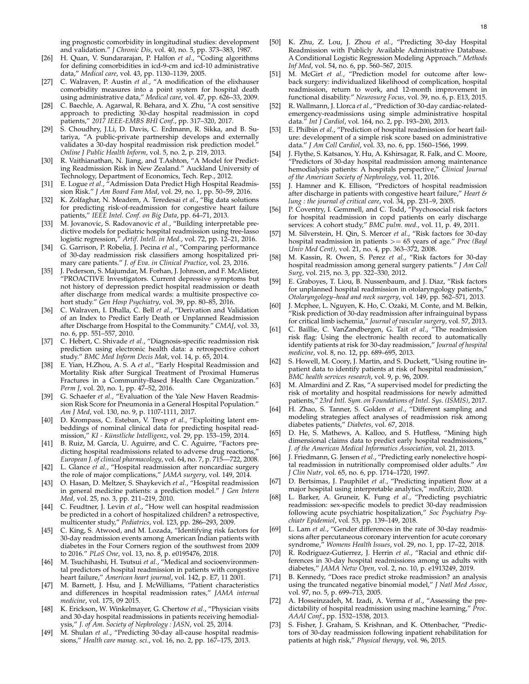ing prognostic comorbidity in longitudinal studies: development and validation." *J Chronic Dis*, vol. 40, no. 5, pp. 373–383, 1987.

- <span id="page-17-30"></span>[26] H. Quan, V. Sundararajan, P. Halfon *et al.*, "Coding algorithms for defining comorbidities in icd-9-cm and icd-10 administrative data," *Medical care*, vol. 43, pp. 1130–1139, 2005.
- <span id="page-17-5"></span>[27] C. Walraven, P. Austin *et al.*, "A modification of the elixhauser comorbidity measures into a point system for hospital death using administrative data," *Medical care*, vol. 47, pp. 626–33, 2009.
- <span id="page-17-6"></span>[28] C. Baechle, A. Agarwal, R. Behara, and X. Zhu, "A cost sensitive approach to predicting 30-day hospital readmission in copd patients," *2017 IEEE-EMBS BHI Conf.*, pp. 317–320, 2017.
- <span id="page-17-0"></span>[29] S. Choudhry, J.Li, D. Davis, C. Erdmann, R. Sikka, and B. Sutariya, "A public-private partnership develops and externally validates a 30-day hospital readmission risk prediction model." *Online J Public Health Inform*, vol. 5, no. 2, p. 219, 2013.
- <span id="page-17-32"></span>[30] R. Vaithianathan, N. Jiang, and T.Ashton, "A Model for Predicting Readmission Risk in New Zealand." Auckland University of Technology, Department of Economics, Tech. Rep., 2012.
- <span id="page-17-1"></span>E. Logue et al., "Admission Data Predict High Hospital Readmission Risk." *J Am Board Fam Med*, vol. 29, no. 1, pp. 50–59, 2016.
- <span id="page-17-3"></span>[32] K. Zolfaghar, N. Meadem, A. Teredesai *et al.*, "Big data solutions for predicting risk-of-readmission for congestive heart failure patients," *IEEE Intel. Conf. on Big Data*, pp. 64–71, 2013.
- <span id="page-17-24"></span>[33] M. Jovanovic, S. Radovanovic *et al.*, "Building interpretable predictive models for pediatric hospital readmission using tree-lasso logistic regression," *Artif. Intell. in Med.*, vol. 72, pp. 12–21, 2016.
- <span id="page-17-14"></span>[34] G. Garrison, P. Robelia, J. Pecina *et al.*, "Comparing performance of 30-day readmission risk classifiers among hospitalized primary care patients." *J. of Eva. in Clinical Practice*, vol. 23, 2016.
- [35] J. Pederson, S. Majumdar, M. Forhan, J. Johnson, and F. McAlister, "PROACTIVE Investigators. Current depressive symptoms but not history of depression predict hospital readmission or death after discharge from medical wards: a multisite prospective cohort study." *Gen Hosp Psychiatry*, vol. 39, pp. 80–85, 2016.
- <span id="page-17-29"></span>[36] C. Walraven, I. Dhalla, C. Bell *et al.*, "Derivation and Validation of an Index to Predict Early Death or Unplanned Readmission after Discharge from Hospital to the Community." *CMAJ*, vol. 33, no. 6, pp. 551–557, 2010.
- [37] C. Hebert, C. Shivade *et al.*, "Diagnosis-specific readmission risk prediction using electronic health data: a retrospective cohort study." *BMC Med Inform Decis Mak*, vol. 14, p. 65, 2014.
- <span id="page-17-25"></span>[38] E. Yian, H.Zhou, A. S. A *et al.*, "Early Hospital Readmission and Mortality Risk after Surgical Treatment of Proximal Humerus Fractures in a Community-Based Health Care Organization." *Perm J*, vol. 20, no. 1, pp. 47–52, 2016.
- <span id="page-17-4"></span>[39] G. Schaefer et al., "Evaluation of the Yale New Haven Readmission Risk Score for Pneumonia in a General Hospital Population." *Am J Med*, vol. 130, no. 9, p. 1107-1111, 2017.
- <span id="page-17-12"></span>[40] D. Krompass, C. Esteban, V. Tresp *et al.*, "Exploiting latent embeddings of nominal clinical data for predicting hospital readmission," KI - Künstliche Intelligenz, vol. 29, pp. 153-159, 2014.
- <span id="page-17-15"></span>[41] B. Ruiz, M. García, U. Aguirre, and C. C. Aguirre, "Factors predicting hospital readmissions related to adverse drug reactions, *European J. of clinical pharmacology*, vol. 64, no. 7, p. 715—722, 2008.
- <span id="page-17-34"></span>[42] L. Glance *et al.*, "Hospital readmission after noncardiac surgery the role of major complications," *JAMA surgery*, vol. 149, 2014.
- <span id="page-17-16"></span>[43] O. Hasan, D. Meltzer, S. Shaykevich *et al.*, "Hospital readmission in general medicine patients: a prediction model." *J Gen Intern Med*, vol. 25, no. 3, pp. 211–219, 2010.
- [44] C. Feudtner, J. Levin et al., "How well can hospital readmission be predicted in a cohort of hospitalized children? a retrospective, multicenter study," *Pediatrics*, vol. 123, pp. 286–293, 2009.
- <span id="page-17-33"></span>[45] C. King, S. Atwood, and M. Lozada, "Identifying risk factors for 30-day readmission events among American Indian patients with diabetes in the Four Corners region of the southwest from 2009 to 2016." *PLoS One*, vol. 13, no. 8, p. e0195476, 2018.
- [46] M. Tsuchihashi, H. Tsutsui et al., "Medical and socioenvironmental predictors of hospital readmission in patients with congestive heart failure," *American heart journal*, vol. 142, p. E7, 11 2001.
- <span id="page-17-21"></span>[47] M. Barnett, J. Hsu, and J. McWilliams, "Patient characteristics and differences in hospital readmission rates," *JAMA internal medicine*, vol. 175, 09 2015.
- [48] K. Erickson, W. Winkelmayer, G. Chertow *et al.*, "Physician visits and 30-day hospital readmissions in patients receiving hemodialysis," *J. of Am. Society of Nephrology : JASN*, vol. 25, 2014.
- <span id="page-17-22"></span>[49] M. Shulan *et al.*, "Predicting 30-day all-cause hospital readmissions," *Health care manag. sci.*, vol. 16, no. 2, pp. 167–175, 2013.
- <span id="page-17-8"></span>[50] K. Zhu, Z. Lou, J. Zhou *et al.*, "Predicting 30-day Hospital Readmission with Publicly Available Administrative Database. A Conditional Logistic Regression Modeling Approach." *Methods Inf Med*, vol. 54, no. 6, pp. 560–567, 2015.
- <span id="page-17-11"></span>[51] M. McGirt *et al.*, "Prediction model for outcome after lowback surgery: individualized likelihood of complication, hospital readmission, return to work, and 12-month improvement in functional disability." *Neurosurg Focus*, vol. 39, no. 6, p. E13, 2015.
- [52] R. Wallmann, J. Llorca *et al.*, "Prediction of 30-day cardiac-relatedemergency-readmissions using simple administrative hospital data." *Int J Cardiol*, vol. 164, no. 2, pp. 193–200, 2013.
- <span id="page-17-26"></span>[53] E. Philbin *et al.*, "Prediction of hospital readmission for heart failure: development of a simple risk score based on administrative data." *J Am Coll Cardiol*, vol. 33, no. 6, pp. 1560–1566, 1999.
- <span id="page-17-28"></span>[54] J. Flythe, S. Katsanos, Y. Hu, A. Kshirsagar, R. Falk, and C. Moore, "Predictors of 30-day hospital readmission among maintenance hemodialysis patients: A hospitals perspective," *Clinical Journal of the American Society of Nephrology*, vol. 11, 2016.
- [55] J. Hamner and K. Ellison, "Predictors of hospital readmission after discharge in patients with congestive heart failure," *Heart & lung : the journal of critical care*, vol. 34, pp. 231–9, 2005.
- [56] P. Coventry, I. Gemmell, and C. Todd, "Psychosocial risk factors for hospital readmission in copd patients on early discharge services: A cohort study," *BMC pulm. med.*, vol. 11, p. 49, 2011.
- [57] M. Silverstein, H. Qin, S. Mercer *et al.*, "Risk factors for 30-day hospital readmission in patients >= 65 years of age." *Proc (Bayl Univ Med Cent)*, vol. 21, no. 4, pp. 363–372, 2008.
- <span id="page-17-35"></span>[58] M. Kassin, R. Owen, S. Perez *et al.*, "Risk factors for 30-day hospital readmission among general surgery patients." *J Am Coll Surg*, vol. 215, no. 3, pp. 322–330, 2012.
- [59] E. Graboyes, T. Liou, B. Nussenbaum, and J. Diaz, "Risk factors for unplanned hospital readmission in otolaryngology patients," *Otolaryngology–head and neck surgery*, vol. 149, pp. 562–571, 2013.
- <span id="page-17-36"></span>[60] J. Mcphee, L. Nguyen, K. Ho, C. Ozaki, M. Conte, and M. Belkin, "Risk prediction of 30-day readmission after infrainguinal bypass for critical limb ischemia," *Journal of vascular surgery*, vol. 57, 2013.
- [61] C. Baillie, C. VanZandbergen, G. Tait *et al.*, "The readmission risk flag: Using the electronic health record to automatically identify patients at risk for 30-day readmission," *Journal of hospital medicine*, vol. 8, no. 12, pp. 689–695, 2013.
- <span id="page-17-17"></span>[62] S. Howell, M. Coory, J. Martin, and S. Duckett, "Using routine inpatient data to identify patients at risk of hospital readmission," *BMC health services research*, vol. 9, p. 96, 2009.
- <span id="page-17-9"></span>[63] M. Almardini and Z. Ras, "A supervised model for predicting the risk of mortality and hospital readmissions for newly admitted patients," *23rd Intl. Sym. on Foundations of Intel. Sys. (ISMIS)*, 2017.
- <span id="page-17-13"></span>[64] H. Zhao, S. Tanner, S. Golden *et al.*, "Different sampling and modeling strategies affect analyses of readmission risk among diabetes patients," *Diabetes*, vol. 67, 2018.
- <span id="page-17-18"></span>[65] D. He, S. Mathews, A. Kalloo, and S. Hutfless, "Mining high dimensional claims data to predict early hospital readmissions, *J. of the American Medical Informatics Association*, vol. 21, 2013.
- <span id="page-17-19"></span>[66] J. Friedmann, G. Jensen *et al.*, "Predicting early nonelective hospital readmission in nutritionally compromised older adults." *Am J Clin Nutr*, vol. 65, no. 6, pp. 1714–1720, 1997.
- <span id="page-17-10"></span>[67] D. Bertsimas, J. Pauphilet *et al.*, "Predicting inpatient flow at a major hospital using interpretable analytics," *medRxiv*, 2020.
- <span id="page-17-20"></span>[68] L. Barker, A. Gruneir, K. Fung *et al.*, "Predicting psychiatric readmission: sex-specific models to predict 30-day readmission following acute psychiatric hospitalization," *Soc Psychiatry Psychiatr Epidemiol*, vol. 53, pp. 139–149, 2018.
- <span id="page-17-31"></span>[69] L. Lam *et al.*, "Gender differences in the rate of 30-day readmissions after percutaneous coronary intervention for acute coronary syndrome," *Womens Health Issues*, vol. 29, no. 1, pp. 17–22, 2018.
- <span id="page-17-27"></span>[70] R. Rodriguez-Gutierrez, J. Herrin *et al.*, "Racial and ethnic differences in 30-day hospital readmissions among us adults with diabetes," *JAMA Netw Open*, vol. 2, no. 10, p. e1913249, 2019.
- <span id="page-17-7"></span>[71] B. Kennedy, "Does race predict stroke readmission? an analysis using the truncated negative binomial model," *J Natl Med Assoc*, vol. 97, no. 5, p. 699–713, 2005.
- <span id="page-17-2"></span>[72] A. Hosseinzadeh, M. Izadi, A. Verma *et al.*, "Assessing the predictability of hospital readmission using machine learning," *Proc. AAAI Conf.*, pp. 1532–1538, 2013.
- <span id="page-17-23"></span>[73] S. Fisher, J. Graham, S. Krishnan, and K. Ottenbacher, "Predictors of 30-day readmission following inpatient rehabilitation for patients at high risk," *Physical therapy*, vol. 96, 2015.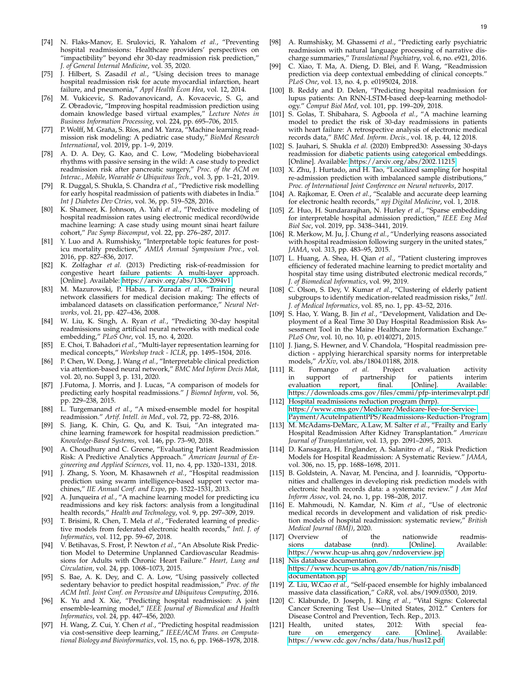- [74] N. Flaks-Manov, E. Srulovici, R. Yahalom *et al.*, "Preventing hospital readmissions: Healthcare providers' perspectives on "impactibility" beyond ehr 30-day readmission risk prediction," *J. of General Internal Medicine*, vol. 35, 2020.
- <span id="page-18-8"></span>[75] J. Hilbert, S. Zasadil *et al.*, "Using decision trees to manage hospital readmission risk for acute myocardial infarction, heart failure, and pneumonia," *Appl Health Econ Hea*, vol. 12, 2014.
- <span id="page-18-9"></span>[76] M. Vukicevic, S. Radovanovicand, A. Kovacevic, S. G, and Z. Obradovic, "Improving hospital readmission prediction using domain knowledge based virtual examples," *Lecture Notes in Business Information Processing*, vol. 224, pp. 695–706, 2015.
- <span id="page-18-10"></span>[77] P. Wolff, M. Graña, S. Ríos, and M. Yarza, "Machine learning readmission risk modeling: A pediatric case study," *BioMed Research International*, vol. 2019, pp. 1–9, 2019.
- <span id="page-18-17"></span>[78] A. D. A. Dey, G. Kao, and C. Low, "Modeling biobehavioral rhythms with passive sensing in the wild: A case study to predict readmission risk after pancreatic surgery," *Proc. of the ACM on Interac., Mobile, Wearable & Ubiquitous Tech.*, vol. 3, pp. 1–21, 2019.
- <span id="page-18-12"></span>[79] R. Duggal, S. Shukla, S. Chandra *et al.*, "Predictive risk modelling for early hospital readmission of patients with diabetes in India." *Int J Diabetes Dev Ctries*, vol. 36, pp. 519–528, 2016.
- <span id="page-18-38"></span>[80] K. Shameer, K. Johnson, A. Yahi *et al.*, "Predictive modeling of hospital readmission rates using electronic medical record0wide machine learning: A case study using mount sinai heart failure cohort," *Pac Symp Biocomput*, vol. 22, pp. 276–287, 2017.
- <span id="page-18-11"></span>[81] Y. Luo and A. Rumshisky, "Interpretable topic features for posticu mortality prediction," *AMIA Annual Symposium Proc.*, vol. 2016, pp. 827–836, 2017.
- <span id="page-18-13"></span>[82] K. Zolfaghar *et al.* (2013) Predicting risk-of-readmission for congestive heart failure patients: A multi-layer approach. [Online]. Available: https://arxiv.[org/abs/1306](https://arxiv.org/abs/1306.2094v1).2094v1
- <span id="page-18-34"></span>[83] M. Mazurowski, P. Habas, J. Zurada *et al.*, "Training neural network classifiers for medical decision making: The effects of imbalanced datasets on classification performance," *Neural Networks*, vol. 21, pp. 427–436, 2008.
- <span id="page-18-43"></span>[84] W. Liu, K. Singh, A. Ryan *et al.*, "Predicting 30-day hospital readmissions using artificial neural networks with medical code embedding," *PLoS One*, vol. 15, no. 4, 2020.
- <span id="page-18-44"></span>[85] E. Choi, T. Bahadori *et al.*, "Multi-layer representation learning for medical concepts," *Workshop track - ICLR*, pp. 1495–1504, 2016.
- <span id="page-18-14"></span>[86] P. Chen, W. Dong, J. Wang *et al.*, "Interpretable clinical prediction via attention-based neural network," *BMC Med Inform Decis Mak*, vol. 20, no. Suppl 3, p. 131, 2020.
- <span id="page-18-15"></span>[87] J.Futoma, J. Morris, and J. Lucas, "A comparison of models for predicting early hospital readmissions." *J Biomed Inform*, vol. 56, pp. 229–238, 2015.
- <span id="page-18-45"></span>[88] L. Turgemanand *et al.*, "A mixed-ensemble model for hospital readmission." *Artif. Intell. in Med.*, vol. 72, pp. 72–88, 2016.
- <span id="page-18-18"></span>[89] S. Jiang, K. Chin, G. Qu, and K. Tsui, "An integrated machine learning framework for hospital readmission prediction." *Knowledge-Based Systems*, vol. 146, pp. 73–90, 2018.
- <span id="page-18-19"></span>[90] A. Choudhury and C. Greene, "Evaluating Patient Readmission Risk: A Predictive Analytics Approach." *American Journal of Engineering and Applied Sciences*, vol. 11, no. 4, pp. 1320–1331, 2018.
- <span id="page-18-39"></span>[91] J. Zhang, S. Yoon, M. Khasawneh *et al.*, "Hospital readmission prediction using swarm intelligence-based support vector machines," *IIE Annual Conf. and Expo*, pp. 1522–1531, 2013.
- <span id="page-18-20"></span>[92] A. Junqueira *et al.*, "A machine learning model for predicting icu readmissions and key risk factors: analysis from a longitudinal health records," *Health and Technology*, vol. 9, pp. 297–309, 2019.
- <span id="page-18-16"></span>[93] T. Brisimi, R. Chen, T. Mela *et al.*, "Federated learning of predictive models from federated electronic health records," *Intl. J. of Informatics*, vol. 112, pp. 59–67, 2018.
- <span id="page-18-3"></span>[94] V. Betihavas, S. Frost, P. Newton *et al.*, "An Absolute Risk Prediction Model to Determine Unplanned Cardiovascular Readmissions for Adults with Chronic Heart Failure." *Heart, Lung and Circulation*, vol. 24, pp. 1068–1073, 2015.
- <span id="page-18-40"></span>[95] S. Bae, A. K. Dey, and C. A. Low, "Using passively collected sedentary behavior to predict hospital readmission," *Proc. of the ACM Intl. Joint Conf. on Pervasive and Ubiquitous Computing*, 2016.
- <span id="page-18-21"></span>[96] K. Yu and X. Xie, "Predicting hospital readmission: A joint ensemble-learning model," *IEEE Journal of Biomedical and Health Informatics*, vol. 24, pp. 447–456, 2020.
- <span id="page-18-22"></span>[97] H. Wang, Z. Cui, Y. Chen *et al.*, "Predicting hospital readmission via cost-sensitive deep learning," *IEEE/ACM Trans. on Computational Biology and Bioinformatics*, vol. 15, no. 6, pp. 1968–1978, 2018.
- <span id="page-18-23"></span>[98] A. Rumshisky, M. Ghassemi *et al.*, "Predicting early psychiatric readmission with natural language processing of narrative discharge summaries," *Translational Psychiatry*, vol. 6, no. e921, 2016.
- <span id="page-18-24"></span>[99] C. Xiao, T. Ma, A. Dieng, D. Blei, and F. Wang, "Readmission prediction via deep contextual embedding of clinical concepts." *PLoS One*, vol. 13, no. 4, p. e0195024, 2018.
- <span id="page-18-2"></span>[100] B. Reddy and D. Delen, "Predicting hospital readmission for lupus patients: An RNN-LSTM-based deep-learning methodology." *Comput Biol Med*, vol. 101, pp. 199–209, 2018.
- <span id="page-18-4"></span>[101] S. Golas, T. Shibahara, S. Agboola *et al.*, "A machine learning model to predict the risk of 30-day readmissions in patients with heart failure: A retrospective analysis of electronic medical records data," *BMC Med. Inform. Decis.*, vol. 18, p. 44, 12 2018.
- <span id="page-18-35"></span>[102] S. Jauhari, S. Shukla *et al.* (2020) Embpred30: Assessing 30-days readmission for diabetic patients using categorical embeddings. [Online]. Available: https://arxiv.[org/abs/2002](https://arxiv.org/abs/2002.11215).11215
- <span id="page-18-36"></span>[103] X. Zhu, J. Hurtado, and H. Tao, "Localized sampling for hospital re-admission prediction with imbalanced sample distributions," *Proc. of International Joint Conference on Neural networks*, 2017.
- <span id="page-18-42"></span>[104] A. Rajkomar, E. Oren et al., "Scalable and accurate deep learning for electronic health records," *npj Digital Medicine*, vol. 1, 2018.
- <span id="page-18-25"></span>[105] Z. Huo, H. Sundararajhan, N. Hurley *et al.*, "Sparse embedding for interpretable hospital admission prediction," *IEEE Eng Med Biol Soc*, vol. 2019, pp. 3438–3441, 2019.
- <span id="page-18-26"></span>[106] R. Merkow, M. Ju, J. Chung *et al.*, "Underlying reasons associated with hospital readmission following surgery in the united states," *JAMA*, vol. 313, pp. 483–95, 2015.
- <span id="page-18-37"></span>[107] L. Huang, A. Shea, H. Qian *et al.*, "Patient clustering improves efficiency of federated machine learning to predict mortality and hospital stay time using distributed electronic medical records,' *J. of Biomedical Informatics*, vol. 99, 2019.
- [108] C. Olson, S. Dey, V. Kumar *et al.*, "Clustering of elderly patient subgroups to identify medication-related readmission risks," *Intl. J. of Medical Informatics*, vol. 85, no. 1, pp. 43–52, 2016.
- <span id="page-18-41"></span>[109] S. Hao, Y. Wang, B. Jin *et al.*, "Development, Validation and Deployment of a Real Time 30 Day Hospital Readmission Risk Assessment Tool in the Maine Healthcare Information Exchange." *PLoS One*, vol. 10, no. 10, p. e0140271, 2015.
- <span id="page-18-27"></span>[110] J. Jiang, S. Hewner, and V. Chandola, "Hospital readmission prediction - applying hierarchical sparsity norms for interpretable models," *ArXiv*, vol. abs/1804.01188, 2018.<br>[111] R. Fornango *et al.* Project 6
- <span id="page-18-0"></span>Fornango *et al.* Project evaluation activity support of partnership for patients interim in support of partnership for patients interim<br>evaluation report, final. [Online]. Available: evaluation https://downloads.cms.[gov/files/cmmi/pfp-interimevalrpt](https://downloads.cms.gov/files/cmmi/pfp-interimevalrpt.pdf).pdf
- <span id="page-18-1"></span>[112] Hospital readmissions reduction program (hrrp). https://www.cms.[gov/Medicare/Medicare-Fee-for-Service-](https://www.cms.gov/Medicare/Medicare-Fee-for-Service-Payment/AcuteInpatientPPS/Readmissions-Reduction-Program)[Payment/AcuteInpatientPPS/Readmissions-Reduction-Program.](https://www.americashealthrankings.org/explore/senior/measure/hospital_readmissions_sr/state/ALL)
- <span id="page-18-5"></span>[113] M. McAdams-DeMarc, A.Law, M. Salter *et al.*, "Frailty and Early Hospital Readmission After Kidney Transplantation." *American Journal of Transplantation*, vol. 13, pp. 2091–2095, 2013.
- <span id="page-18-6"></span>[114] D. Kansagara, H. Englander, A. Salanitro *et al.*, "Risk Prediction Models for Hospital Readmission: A Systematic Review." *JAMA*, vol. 306, no. 15, pp. 1688–1698, 2011.
- <span id="page-18-7"></span>[115] B. Goldstein, A. Navar, M. Pencina, and J. Ioannidis, "Opportunities and challenges in developing risk prediction models with electronic health records data: a systematic review." *J Am Med Inform Assoc*, vol. 24, no. 1, pp. 198–208, 2017.
- <span id="page-18-28"></span>[116] E. Mahmoudi, N. Kamdar, N. Kim *et al.*, "Use of electronic medical records in development and validation of risk prediction models of hospital readmission: systematic review," *British Medical Journal (BMJ)*, 2020.
- <span id="page-18-29"></span>[117] Overview of the nationwide readmis-Available: https://www.hcup-us.ahrq.[gov/nrdoverview](https://www.hcup-us.ahrq.gov/nrdoverview.jsp).jsp
- <span id="page-18-30"></span>[118] Nis database documentation. https://www.hcup-us.ahrq.[gov/db/nation/nis/nisdb](https://www.hcup-us.ahrq.gov/db/nation/nis/nisdbdocumentation.jsp) [documentation](https://www.hcup-us.ahrq.gov/db/nation/nis/nisdbdocumentation.jsp).jsp.
- <span id="page-18-31"></span>[119] Z. Liu, W.Cao *et al.*, "Self-paced ensemble for highly imbalanced massive data classification," *CoRR*, vol. abs/1909.03500, 2019.
- <span id="page-18-32"></span>[120] C. Klabunde, D. Joseph, J. King *et al.*, "Vital Signs: Colorectal Cancer Screening Test Use—United States, 2012." Centers for Disease Control and Prevention, Tech. Rep., 2013.<br>Health, united states, 2012: With special
- <span id="page-18-33"></span>[121] Health, united states, 2012: With special feature on emergency care. https://www.cdc.[gov/nchs/data/hus/hus12](https://www.cdc.gov/nchs/data/hus/hus12.pdf).pdf